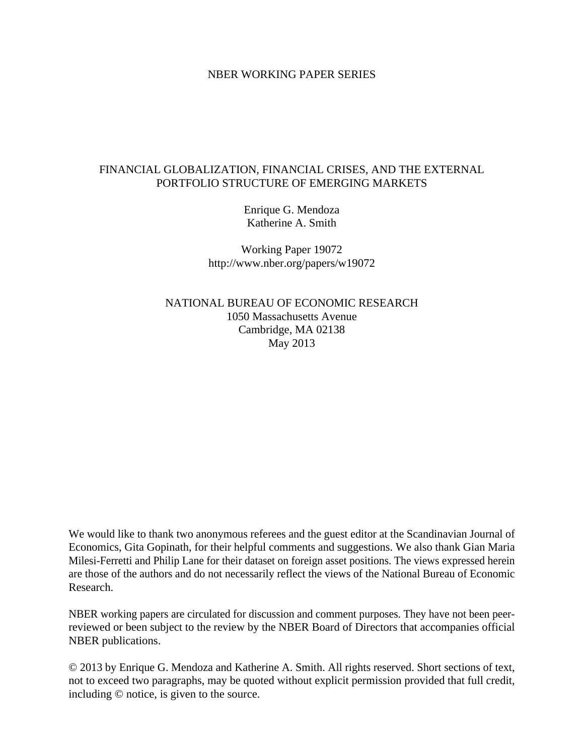### NBER WORKING PAPER SERIES

## FINANCIAL GLOBALIZATION, FINANCIAL CRISES, AND THE EXTERNAL PORTFOLIO STRUCTURE OF EMERGING MARKETS

Enrique G. Mendoza Katherine A. Smith

Working Paper 19072 http://www.nber.org/papers/w19072

NATIONAL BUREAU OF ECONOMIC RESEARCH 1050 Massachusetts Avenue Cambridge, MA 02138 May 2013

We would like to thank two anonymous referees and the guest editor at the Scandinavian Journal of Economics, Gita Gopinath, for their helpful comments and suggestions. We also thank Gian Maria Milesi-Ferretti and Philip Lane for their dataset on foreign asset positions. The views expressed herein are those of the authors and do not necessarily reflect the views of the National Bureau of Economic Research.

NBER working papers are circulated for discussion and comment purposes. They have not been peerreviewed or been subject to the review by the NBER Board of Directors that accompanies official NBER publications.

© 2013 by Enrique G. Mendoza and Katherine A. Smith. All rights reserved. Short sections of text, not to exceed two paragraphs, may be quoted without explicit permission provided that full credit, including © notice, is given to the source.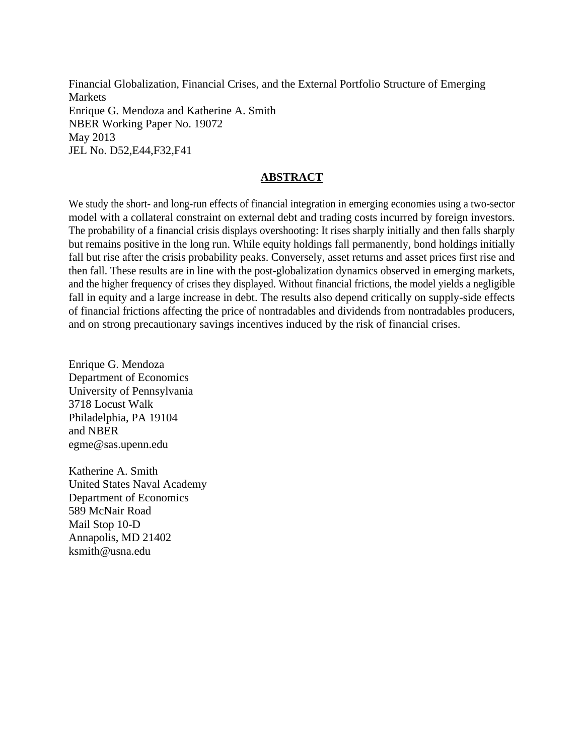Financial Globalization, Financial Crises, and the External Portfolio Structure of Emerging **Markets** Enrique G. Mendoza and Katherine A. Smith NBER Working Paper No. 19072 May 2013 JEL No. D52,E44,F32,F41

# **ABSTRACT**

We study the short- and long-run effects of financial integration in emerging economies using a two-sector model with a collateral constraint on external debt and trading costs incurred by foreign investors. The probability of a financial crisis displays overshooting: It rises sharply initially and then falls sharply but remains positive in the long run. While equity holdings fall permanently, bond holdings initially fall but rise after the crisis probability peaks. Conversely, asset returns and asset prices first rise and then fall. These results are in line with the post-globalization dynamics observed in emerging markets, and the higher frequency of crises they displayed. Without financial frictions, the model yields a negligible fall in equity and a large increase in debt. The results also depend critically on supply-side effects of financial frictions affecting the price of nontradables and dividends from nontradables producers, and on strong precautionary savings incentives induced by the risk of financial crises.

Enrique G. Mendoza Department of Economics University of Pennsylvania 3718 Locust Walk Philadelphia, PA 19104 and NBER egme@sas.upenn.edu

Katherine A. Smith United States Naval Academy Department of Economics 589 McNair Road Mail Stop 10-D Annapolis, MD 21402 ksmith@usna.edu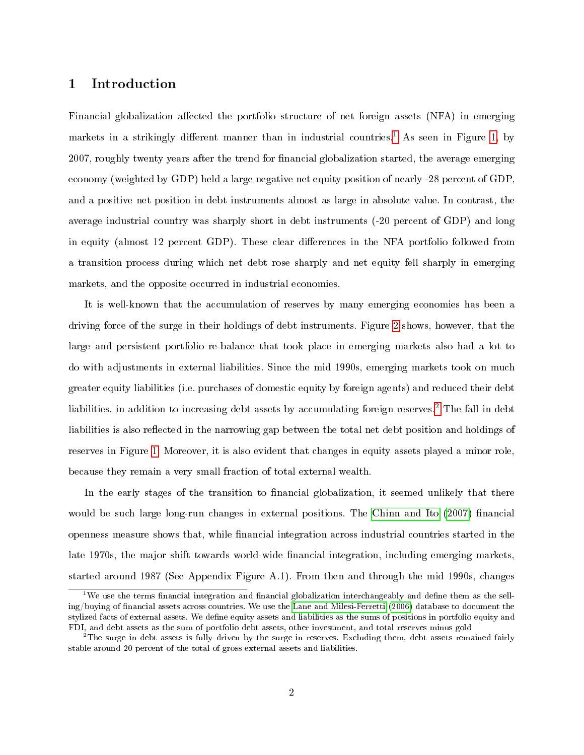# <span id="page-2-2"></span>1 Introduction

Financial globalization affected the portfolio structure of net foreign assets (NFA) in emerging markets in a strikingly different manner than in industrial countries.<sup>[1](#page-2-0)</sup> As seen in Figure [1,](#page-3-0) by 2007, roughly twenty years after the trend for nancial globalization started, the average emerging economy (weighted by GDP) held a large negative net equity position of nearly -28 percent of GDP, and a positive net position in debt instruments almost as large in absolute value. In contrast, the average industrial country was sharply short in debt instruments (-20 percent of GDP) and long in equity (almost 12 percent GDP). These clear differences in the NFA portfolio followed from a transition process during which net debt rose sharply and net equity fell sharply in emerging markets, and the opposite occurred in industrial economies.

It is well-known that the accumulation of reserves by many emerging economies has been a driving force of the surge in their holdings of debt instruments. Figure [2](#page-5-0) shows, however, that the large and persistent portfolio re-balance that took place in emerging markets also had a lot to do with adjustments in external liabilities. Since the mid 1990s, emerging markets took on much greater equity liabilities (i.e. purchases of domestic equity by foreign agents) and reduced their debt liabilities, in addition to increasing debt assets by accumulating foreign reserves.<sup>[2](#page-2-1)</sup> The fall in debt liabilities is also reflected in the narrowing gap between the total net debt position and holdings of reserves in Figure [1.](#page-3-0) Moreover, it is also evident that changes in equity assets played a minor role, because they remain a very small fraction of total external wealth.

In the early stages of the transition to financial globalization, it seemed unlikely that there would be such large long-run changes in external positions. The [Chinn and Ito](#page-43-0)  $(2007)$  financial openness measure shows that, while financial integration across industrial countries started in the late 1970s, the major shift towards world-wide financial integration, including emerging markets, started around 1987 (See Appendix Figure A.1). From then and through the mid 1990s, changes

<span id="page-2-0"></span><sup>&</sup>lt;sup>1</sup>We use the terms financial integration and financial globalization interchangeably and define them as the selling/buying of nancial assets across countries. We use the [Lane and Milesi-Ferretti](#page-44-0) [\(2006\)](#page-44-0) database to document the stylized facts of external assets. We dene equity assets and liabilities as the sums of positions in portfolio equity and FDI, and debt assets as the sum of portfolio debt assets, other investment, and total reserves minus gold

<span id="page-2-1"></span> $^{2}$ The surge in debt assets is fully driven by the surge in reserves. Excluding them, debt assets remained fairly stable around 20 percent of the total of gross external assets and liabilities.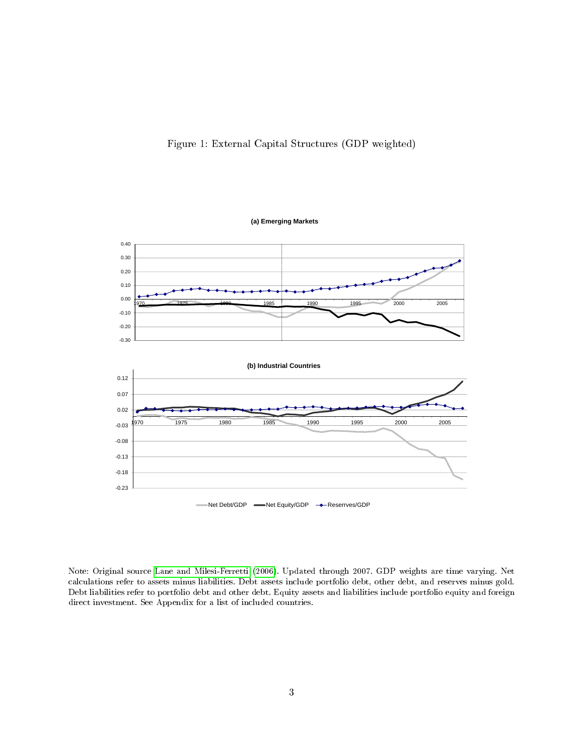Figure 1: External Capital Structures (GDP weighted)

<span id="page-3-0"></span>

Note: Original source [Lane and Milesi-Ferretti](#page-44-0) [\(2006\)](#page-44-0). Updated through 2007. GDP weights are time varying. Net calculations refer to assets minus liabilities. Debt assets include portfolio debt, other debt, and reserves minus gold. Debt liabilities refer to portfolio debt and other debt. Equity assets and liabilities include portfolio equity and foreign direct investment. See Appendix for a list of included countries.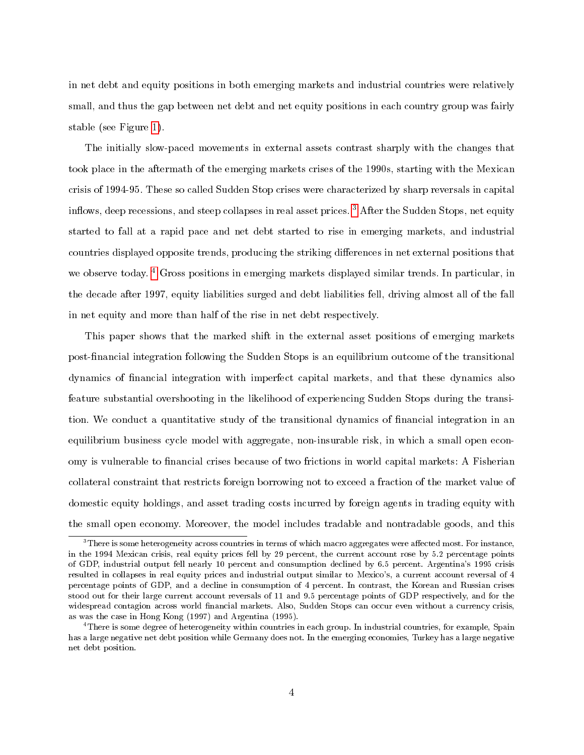in net debt and equity positions in both emerging markets and industrial countries were relatively small, and thus the gap between net debt and net equity positions in each country group was fairly stable (see Figure [1\)](#page-3-0).

The initially slow-paced movements in external assets contrast sharply with the changes that took place in the aftermath of the emerging markets crises of the 1990s, starting with the Mexican crisis of 1994-95. These so called Sudden Stop crises were characterized by sharp reversals in capital inflows, deep recessions, and steep collapses in real asset prices.<sup>[3](#page-4-0)</sup> After the Sudden Stops, net equity started to fall at a rapid pace and net debt started to rise in emerging markets, and industrial countries displayed opposite trends, producing the striking differences in net external positions that we observe today. <sup>[4](#page-4-1)</sup> Gross positions in emerging markets displayed similar trends. In particular, in the decade after 1997, equity liabilities surged and debt liabilities fell, driving almost all of the fall in net equity and more than half of the rise in net debt respectively.

This paper shows that the marked shift in the external asset positions of emerging markets post-financial integration following the Sudden Stops is an equilibrium outcome of the transitional dynamics of nancial integration with imperfect capital markets, and that these dynamics also feature substantial overshooting in the likelihood of experiencing Sudden Stops during the transition. We conduct a quantitative study of the transitional dynamics of financial integration in an equilibrium business cycle model with aggregate, non-insurable risk, in which a small open economy is vulnerable to financial crises because of two frictions in world capital markets: A Fisherian collateral constraint that restricts foreign borrowing not to exceed a fraction of the market value of domestic equity holdings, and asset trading costs incurred by foreign agents in trading equity with the small open economy. Moreover, the model includes tradable and nontradable goods, and this

<span id="page-4-0"></span> $3$ There is some heterogeneity across countries in terms of which macro aggregates were affected most. For instance, in the 1994 Mexican crisis, real equity prices fell by 29 percent, the current account rose by 5.2 percentage points of GDP, industrial output fell nearly 10 percent and consumption declined by 6.5 percent. Argentina's 1995 crisis resulted in collapses in real equity prices and industrial output similar to Mexico's, a current account reversal of 4 percentage points of GDP, and a decline in consumption of 4 percent. In contrast, the Korean and Russian crises stood out for their large current account reversals of 11 and 9.5 percentage points of GDP respectively, and for the widespread contagion across world financial markets. Also, Sudden Stops can occur even without a currency crisis, as was the case in Hong Kong (1997) and Argentina (1995).

<span id="page-4-1"></span><sup>&</sup>lt;sup>4</sup>There is some degree of heterogeneity within countries in each group. In industrial countries, for example, Spain has a large negative net debt position while Germany does not. In the emerging economies, Turkey has a large negative net debt position.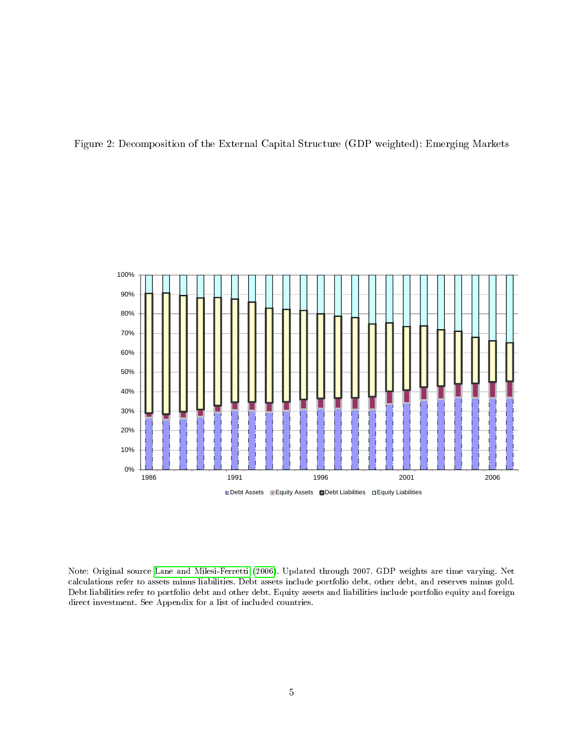<span id="page-5-0"></span>



Note: Original source [Lane and Milesi-Ferretti](#page-44-0) [\(2006\)](#page-44-0). Updated through 2007. GDP weights are time varying. Net calculations refer to assets minus liabilities. Debt assets include portfolio debt, other debt, and reserves minus gold. Debt liabilities refer to portfolio debt and other debt. Equity assets and liabilities include portfolio equity and foreign direct investment. See Appendix for a list of included countries.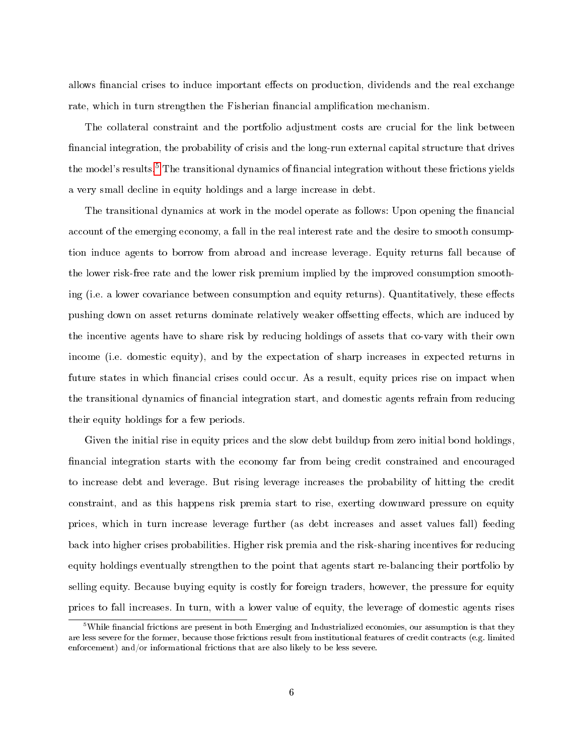allows financial crises to induce important effects on production, dividends and the real exchange rate, which in turn strengthen the Fisherian financial amplification mechanism.

The collateral constraint and the portfolio adjustment costs are crucial for the link between financial integration, the probability of crisis and the long-run external capital structure that drives the model's results.<sup>[5](#page-6-0)</sup> The transitional dynamics of financial integration without these frictions yields a very small decline in equity holdings and a large increase in debt.

The transitional dynamics at work in the model operate as follows: Upon opening the financial account of the emerging economy, a fall in the real interest rate and the desire to smooth consumption induce agents to borrow from abroad and increase leverage. Equity returns fall because of the lower risk-free rate and the lower risk premium implied by the improved consumption smoothing (i.e. a lower covariance between consumption and equity returns). Quantitatively, these effects pushing down on asset returns dominate relatively weaker offsetting effects, which are induced by the incentive agents have to share risk by reducing holdings of assets that co-vary with their own income (i.e. domestic equity), and by the expectation of sharp increases in expected returns in future states in which financial crises could occur. As a result, equity prices rise on impact when the transitional dynamics of nancial integration start, and domestic agents refrain from reducing their equity holdings for a few periods.

Given the initial rise in equity prices and the slow debt buildup from zero initial bond holdings, financial integration starts with the economy far from being credit constrained and encouraged to increase debt and leverage. But rising leverage increases the probability of hitting the credit constraint, and as this happens risk premia start to rise, exerting downward pressure on equity prices, which in turn increase leverage further (as debt increases and asset values fall) feeding back into higher crises probabilities. Higher risk premia and the risk-sharing incentives for reducing equity holdings eventually strengthen to the point that agents start re-balancing their portfolio by selling equity. Because buying equity is costly for foreign traders, however, the pressure for equity prices to fall increases. In turn, with a lower value of equity, the leverage of domestic agents rises

<span id="page-6-0"></span> $^5$ While financial frictions are present in both Emerging and Industrialized economies, our assumption is that they are less severe for the former, because those frictions result from institutional features of credit contracts (e.g. limited enforcement) and/or informational frictions that are also likely to be less severe.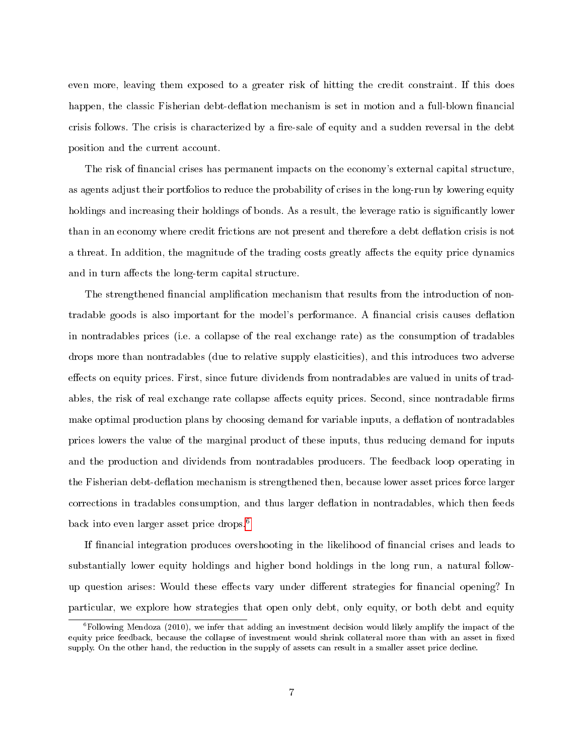even more, leaving them exposed to a greater risk of hitting the credit constraint. If this does happen, the classic Fisherian debt-deflation mechanism is set in motion and a full-blown financial crisis follows. The crisis is characterized by a fire-sale of equity and a sudden reversal in the debt position and the current account.

The risk of financial crises has permanent impacts on the economy's external capital structure, as agents adjust their portfolios to reduce the probability of crises in the long-run by lowering equity holdings and increasing their holdings of bonds. As a result, the leverage ratio is significantly lower than in an economy where credit frictions are not present and therefore a debt deflation crisis is not a threat. In addition, the magnitude of the trading costs greatly affects the equity price dynamics and in turn affects the long-term capital structure.

The strengthened financial amplification mechanism that results from the introduction of nontradable goods is also important for the model's performance. A financial crisis causes deflation in nontradables prices (i.e. a collapse of the real exchange rate) as the consumption of tradables drops more than nontradables (due to relative supply elasticities), and this introduces two adverse effects on equity prices. First, since future dividends from nontradables are valued in units of tradables, the risk of real exchange rate collapse affects equity prices. Second, since nontradable firms make optimal production plans by choosing demand for variable inputs, a deflation of nontradables prices lowers the value of the marginal product of these inputs, thus reducing demand for inputs and the production and dividends from nontradables producers. The feedback loop operating in the Fisherian debt-deflation mechanism is strengthened then, because lower asset prices force larger corrections in tradables consumption, and thus larger deflation in nontradables, which then feeds back into even larger asset price drops.[6](#page-7-0)

If financial integration produces overshooting in the likelihood of financial crises and leads to substantially lower equity holdings and higher bond holdings in the long run, a natural followup question arises: Would these effects vary under different strategies for financial opening? In particular, we explore how strategies that open only debt, only equity, or both debt and equity

<span id="page-7-0"></span> $6$ Following Mendoza (2010), we infer that adding an investment decision would likely amplify the impact of the equity price feedback, because the collapse of investment would shrink collateral more than with an asset in fixed supply. On the other hand, the reduction in the supply of assets can result in a smaller asset price decline.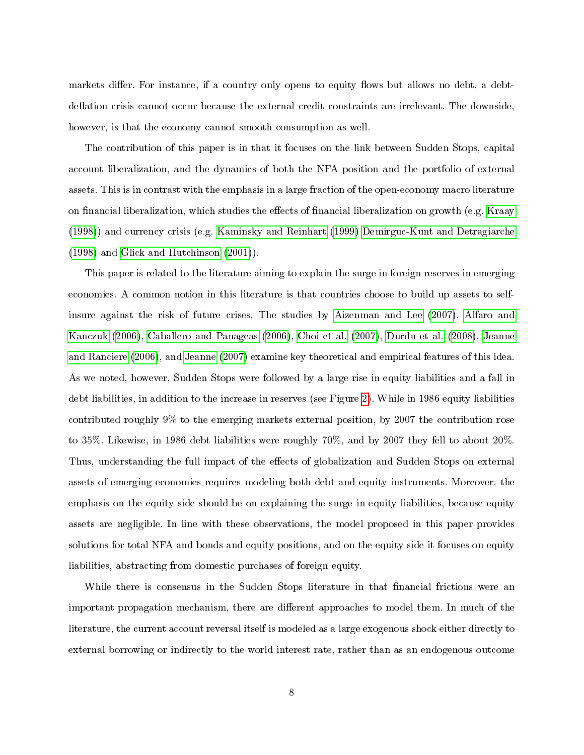markets differ. For instance, if a country only opens to equity flows but allows no debt, a debtdeflation crisis cannot occur because the external credit constraints are irrelevant. The downside, however, is that the economy cannot smooth consumption as well.

The contribution of this paper is in that it focuses on the link between Sudden Stops, capital account liberalization, and the dynamics of both the NFA position and the portfolio of external assets. This is in contrast with the emphasis in a large fraction of the open-economy macro literature on financial liberalization, which studies the effects of financial liberalization on growth (e.g. [Kraay](#page-44-1) [\(1998\)](#page-44-1)) and currency crisis (e.g. [Kaminsky and Reinhart](#page-44-2) [\(1999\)](#page-44-2) [Demirguc-Kunt and Detragiarche](#page-43-1) [\(1998\)](#page-43-1) and [Glick and Hutchinson](#page-43-2) [\(2001\)](#page-43-2)).

This paper is related to the literature aiming to explain the surge in foreign reserves in emerging economies. A common notion in this literature is that countries choose to build up assets to selfinsure against the risk of future crises. The studies by [Aizenman and Lee](#page-42-0) [\(2007\)](#page-42-0), [Alfaro and](#page-42-1) [Kanczuk](#page-42-1) [\(2006\)](#page-42-1), [Caballero and Panageas](#page-42-2) [\(2006\)](#page-42-2), [Choi et al.](#page-43-3) [\(2007\)](#page-43-3), [Durdu et al.](#page-43-4) [\(2008\)](#page-43-4), [Jeanne](#page-44-3) [and Ranciere](#page-44-3) [\(2006\)](#page-44-3), and [Jeanne](#page-44-4) [\(2007\)](#page-44-4) examine key theoretical and empirical features of this idea. As we noted, however, Sudden Stops were followed by a large rise in equity liabilities and a fall in debt liabilities, in addition to the increase in reserves (see Figure [2\)](#page-5-0). While in 1986 equity liabilities contributed roughly 9% to the emerging markets external position, by 2007 the contribution rose to 35%. Likewise, in 1986 debt liabilities were roughly 70%, and by 2007 they fell to about 20%. Thus, understanding the full impact of the effects of globalization and Sudden Stops on external assets of emerging economies requires modeling both debt and equity instruments. Moreover, the emphasis on the equity side should be on explaining the surge in equity liabilities, because equity assets are negligible. In line with these observations, the model proposed in this paper provides solutions for total NFA and bonds and equity positions, and on the equity side it focuses on equity liabilities, abstracting from domestic purchases of foreign equity.

While there is consensus in the Sudden Stops literature in that financial frictions were an important propagation mechanism, there are different approaches to model them. In much of the literature, the current account reversal itself is modeled as a large exogenous shock either directly to external borrowing or indirectly to the world interest rate, rather than as an endogenous outcome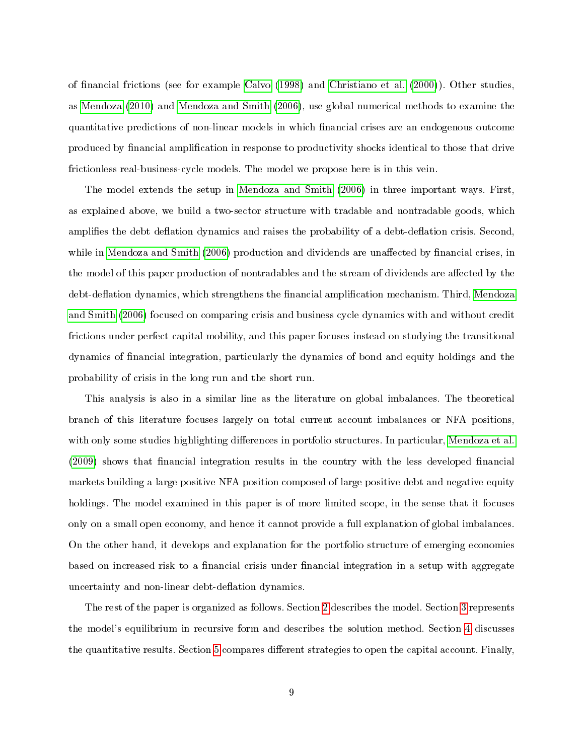of nancial frictions (see for example [Calvo](#page-42-3) [\(1998\)](#page-42-3) and [Christiano et al.](#page-43-5) [\(2000\)](#page-43-5)). Other studies, as [Mendoza](#page-44-5) [\(2010\)](#page-44-5) and [Mendoza and Smith](#page-44-6) [\(2006\)](#page-44-6), use global numerical methods to examine the quantitative predictions of non-linear models in which nancial crises are an endogenous outcome produced by financial amplification in response to productivity shocks identical to those that drive frictionless real-business-cycle models. The model we propose here is in this vein.

The model extends the setup in [Mendoza and Smith](#page-44-6) [\(2006\)](#page-44-6) in three important ways. First, as explained above, we build a two-sector structure with tradable and nontradable goods, which amplifies the debt deflation dynamics and raises the probability of a debt-deflation crisis. Second, while in [Mendoza and Smith](#page-44-6) [\(2006\)](#page-44-6) production and dividends are unaffected by financial crises, in the model of this paper production of nontradables and the stream of dividends are affected by the debt-deflation dynamics, which strengthens the financial amplification mechanism. Third, [Mendoza](#page-44-6) [and Smith](#page-44-6) [\(2006\)](#page-44-6) focused on comparing crisis and business cycle dynamics with and without credit frictions under perfect capital mobility, and this paper focuses instead on studying the transitional dynamics of nancial integration, particularly the dynamics of bond and equity holdings and the probability of crisis in the long run and the short run.

This analysis is also in a similar line as the literature on global imbalances. The theoretical branch of this literature focuses largely on total current account imbalances or NFA positions, with only some studies highlighting differences in portfolio structures. In particular, [Mendoza et al.](#page-44-7) [\(2009\)](#page-44-7) shows that financial integration results in the country with the less developed financial markets building a large positive NFA position composed of large positive debt and negative equity holdings. The model examined in this paper is of more limited scope, in the sense that it focuses only on a small open economy, and hence it cannot provide a full explanation of global imbalances. On the other hand, it develops and explanation for the portfolio structure of emerging economies based on increased risk to a financial crisis under financial integration in a setup with aggregate uncertainty and non-linear debt-deflation dynamics.

The rest of the paper is organized as follows. Section [2](#page-10-0) describes the model. Section [3](#page-18-0) represents the model's equilibrium in recursive form and describes the solution method. Section [4](#page-22-0) discusses the quantitative results. Section [5](#page-37-0) compares different strategies to open the capital account. Finally,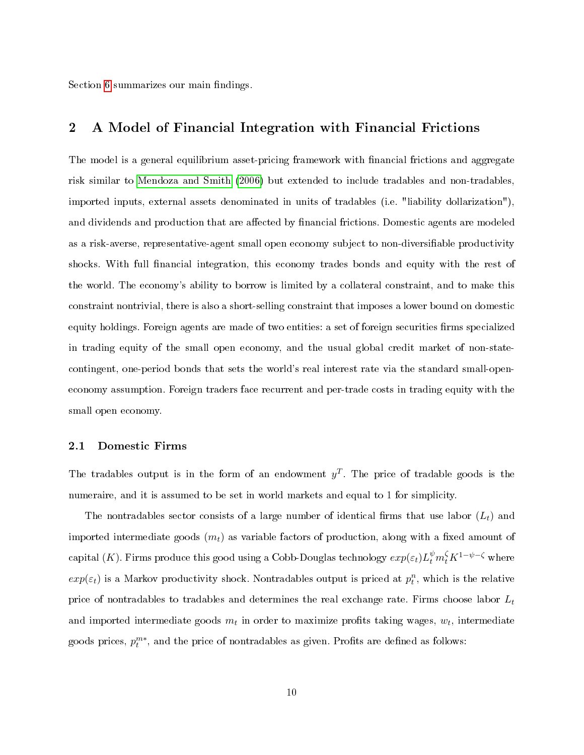Section [6](#page-40-0) summarizes our main findings.

## <span id="page-10-0"></span>2 A Model of Financial Integration with Financial Frictions

The model is a general equilibrium asset-pricing framework with financial frictions and aggregate risk similar to [Mendoza and Smith](#page-44-6) [\(2006\)](#page-44-6) but extended to include tradables and non-tradables, imported inputs, external assets denominated in units of tradables (i.e. "liability dollarization"), and dividends and production that are affected by financial frictions. Domestic agents are modeled as a risk-averse, representative-agent small open economy subject to non-diversiable productivity shocks. With full financial integration, this economy trades bonds and equity with the rest of the world. The economy's ability to borrow is limited by a collateral constraint, and to make this constraint nontrivial, there is also a short-selling constraint that imposes a lower bound on domestic equity holdings. Foreign agents are made of two entities: a set of foreign securities firms specialized in trading equity of the small open economy, and the usual global credit market of non-statecontingent, one-period bonds that sets the world's real interest rate via the standard small-openeconomy assumption. Foreign traders face recurrent and per-trade costs in trading equity with the small open economy.

### 2.1 Domestic Firms

The tradables output is in the form of an endowment  $y^T$ . The price of tradable goods is the numeraire, and it is assumed to be set in world markets and equal to 1 for simplicity.

The nontradables sector consists of a large number of identical firms that use labor  $(L_t)$  and imported intermediate goods  $(m_t)$  as variable factors of production, along with a fixed amount of capital (*K*). Firms produce this good using a Cobb-Douglas technology  $exp(\varepsilon_t)L_t^{\psi}m_t^{\zeta}K^{1-\psi-\zeta}$  where  $exp(\varepsilon_t)$  is a Markov productivity shock. Nontradables output is priced at  $p_t^n$ , which is the relative price of nontradables to tradables and determines the real exchange rate. Firms choose labor  $L_t$ and imported intermediate goods  $m_t$  in order to maximize profits taking wages,  $w_t$ , intermediate goods prices,  $p_t^{m*}$ , and the price of nontradables as given. Profits are defined as follows: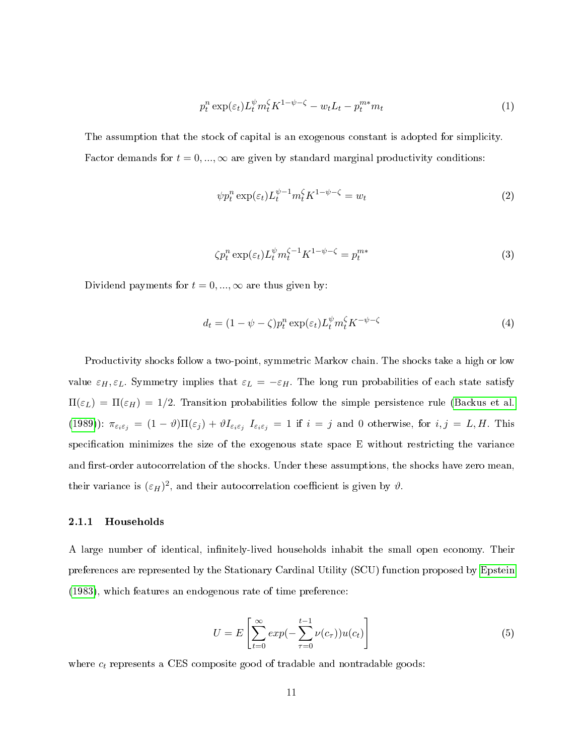$$
p_t^n \exp(\varepsilon_t) L_t^{\psi} m_t^{\zeta} K^{1-\psi-\zeta} - w_t L_t - p_t^{m*} m_t \tag{1}
$$

The assumption that the stock of capital is an exogenous constant is adopted for simplicity. Factor demands for  $t = 0, ..., \infty$  are given by standard marginal productivity conditions:

$$
\psi p_t^n \exp(\varepsilon_t) L_t^{\psi - 1} m_t^\zeta K^{1 - \psi - \zeta} = w_t \tag{2}
$$

$$
\zeta p_t^n \exp(\varepsilon_t) L_t^{\psi} m_t^{\zeta - 1} K^{1 - \psi - \zeta} = p_t^{m*}
$$
\n(3)

Dividend payments for  $t = 0, ..., \infty$  are thus given by:

$$
d_t = (1 - \psi - \zeta)p_t^n \exp(\varepsilon_t)L_t^{\psi}m_t^{\zeta}K^{-\psi - \zeta}
$$
\n(4)

Productivity shocks follow a two-point, symmetric Markov chain. The shocks take a high or low value  $\varepsilon_H$ ,  $\varepsilon_L$ . Symmetry implies that  $\varepsilon_L = -\varepsilon_H$ . The long run probabilities of each state satisfy  $\Pi(\varepsilon_L) = \Pi(\varepsilon_H) = 1/2$ . Transition probabilities follow the simple persistence rule [\(Backus et al.](#page-42-4) [\(1989\)](#page-42-4)):  $\pi_{\varepsilon_i \varepsilon_j} = (1 - \vartheta) \Pi(\varepsilon_j) + \vartheta I_{\varepsilon_i \varepsilon_j} I_{\varepsilon_i \varepsilon_j} = 1$  if  $i = j$  and 0 otherwise, for  $i, j = L, H$ . This specification minimizes the size of the exogenous state space  $E$  without restricting the variance and first-order autocorrelation of the shocks. Under these assumptions, the shocks have zero mean, their variance is  $(\varepsilon_H)^2$ , and their autocorrelation coefficient is given by  $\vartheta$ .

#### 2.1.1 Households

A large number of identical, infinitely-lived households inhabit the small open economy. Their preferences are represented by the Stationary Cardinal Utility (SCU) function proposed by [Epstein](#page-43-6) [\(1983\)](#page-43-6), which features an endogenous rate of time preference:

$$
U = E\left[\sum_{t=0}^{\infty} exp(-\sum_{\tau=0}^{t-1} \nu(c_{\tau}))u(c_t)\right]
$$
\n
$$
(5)
$$

where  $c_t$  represents a CES composite good of tradable and nontradable goods: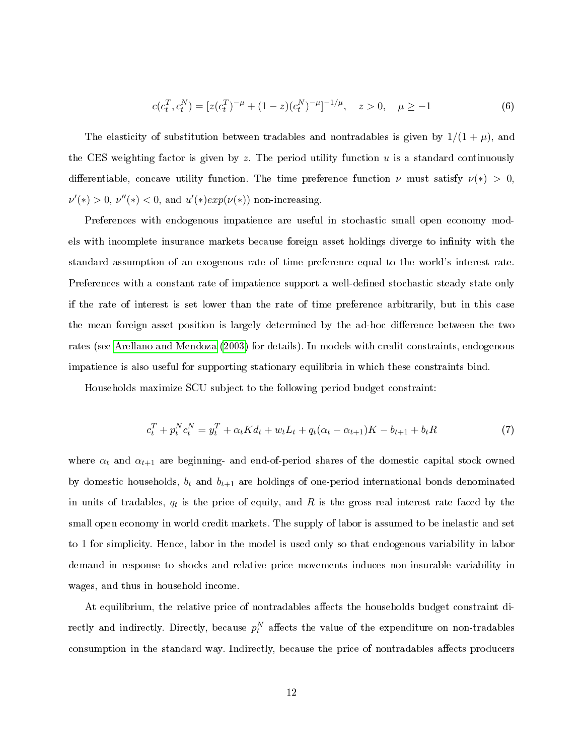$$
c(c_t^T, c_t^N) = [z(c_t^T)^{-\mu} + (1-z)(c_t^N)^{-\mu}]^{-1/\mu}, \quad z > 0, \quad \mu \ge -1
$$
 (6)

The elasticity of substitution between tradables and nontradables is given by  $1/(1 + \mu)$ , and the CES weighting factor is given by z. The period utility function u is a standard continuously differentiable, concave utility function. The time preference function  $\nu$  must satisfy  $\nu(*)$  > 0,  $\nu'(*) > 0$ ,  $\nu''(*) < 0$ , and  $u'(*)exp(\nu(*))$  non-increasing.

Preferences with endogenous impatience are useful in stochastic small open economy models with incomplete insurance markets because foreign asset holdings diverge to infinity with the standard assumption of an exogenous rate of time preference equal to the world's interest rate. Preferences with a constant rate of impatience support a well-defined stochastic steady state only if the rate of interest is set lower than the rate of time preference arbitrarily, but in this case the mean foreign asset position is largely determined by the ad-hoc difference between the two rates (see [Arellano and Mendoza](#page-42-5) [\(2003\)](#page-42-5) for details). In models with credit constraints, endogenous impatience is also useful for supporting stationary equilibria in which these constraints bind.

Households maximize SCU subject to the following period budget constraint:

$$
c_t^T + p_t^N c_t^N = y_t^T + \alpha_t K d_t + w_t L_t + q_t (\alpha_t - \alpha_{t+1}) K - b_{t+1} + b_t R \tag{7}
$$

where  $\alpha_t$  and  $\alpha_{t+1}$  are beginning- and end-of-period shares of the domestic capital stock owned by domestic households,  $b_t$  and  $b_{t+1}$  are holdings of one-period international bonds denominated in units of tradables,  $q_t$  is the price of equity, and R is the gross real interest rate faced by the small open economy in world credit markets. The supply of labor is assumed to be inelastic and set to 1 for simplicity. Hence, labor in the model is used only so that endogenous variability in labor demand in response to shocks and relative price movements induces non-insurable variability in wages, and thus in household income.

At equilibrium, the relative price of nontradables affects the households budget constraint directly and indirectly. Directly, because  $p_t^N$  affects the value of the expenditure on non-tradables consumption in the standard way. Indirectly, because the price of nontradables affects producers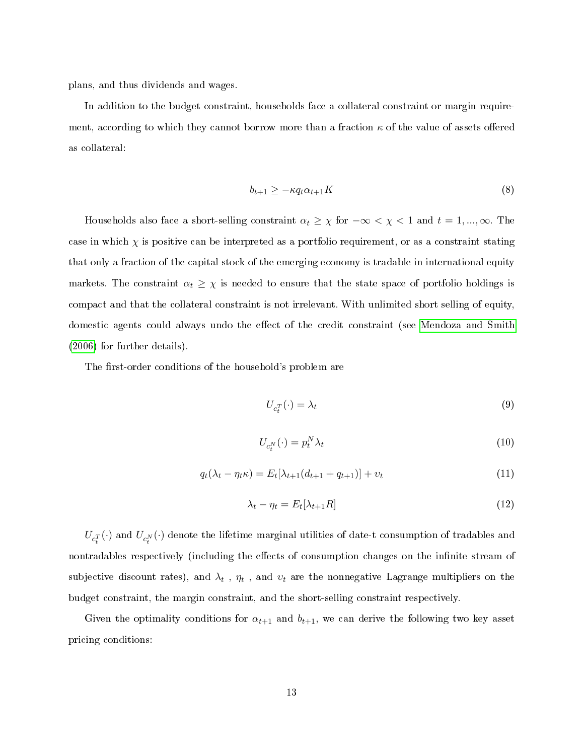plans, and thus dividends and wages.

In addition to the budget constraint, households face a collateral constraint or margin requirement, according to which they cannot borrow more than a fraction  $\kappa$  of the value of assets offered as collateral:

$$
b_{t+1} \ge -\kappa q_t \alpha_{t+1} K \tag{8}
$$

Households also face a short-selling constraint  $\alpha_t \geq \chi$  for  $-\infty < \chi < 1$  and  $t = 1, ..., \infty$ . The case in which  $\chi$  is positive can be interpreted as a portfolio requirement, or as a constraint stating that only a fraction of the capital stock of the emerging economy is tradable in international equity markets. The constraint  $\alpha_t \geq \chi$  is needed to ensure that the state space of portfolio holdings is compact and that the collateral constraint is not irrelevant. With unlimited short selling of equity, domestic agents could always undo the effect of the credit constraint (see [Mendoza and Smith](#page-44-6) [\(2006\)](#page-44-6) for further details).

The first-order conditions of the household's problem are

$$
U_{c_t^T}(\cdot) = \lambda_t \tag{9}
$$

$$
U_{c_t^N}(\cdot) = p_t^N \lambda_t \tag{10}
$$

$$
q_t(\lambda_t - \eta_t \kappa) = E_t[\lambda_{t+1}(d_{t+1} + q_{t+1})] + v_t
$$
\n(11)

$$
\lambda_t - \eta_t = E_t[\lambda_{t+1}R] \tag{12}
$$

 $U_{c_t^T}(\cdot)$  and  $U_{c_t^N}(\cdot)$  denote the lifetime marginal utilities of date-t consumption of tradables and nontradables respectively (including the effects of consumption changes on the infinite stream of subjective discount rates), and  $\lambda_t$  ,  $\eta_t$  , and  $v_t$  are the nonnegative Lagrange multipliers on the budget constraint, the margin constraint, and the short-selling constraint respectively.

Given the optimality conditions for  $\alpha_{t+1}$  and  $b_{t+1}$ , we can derive the following two key asset pricing conditions: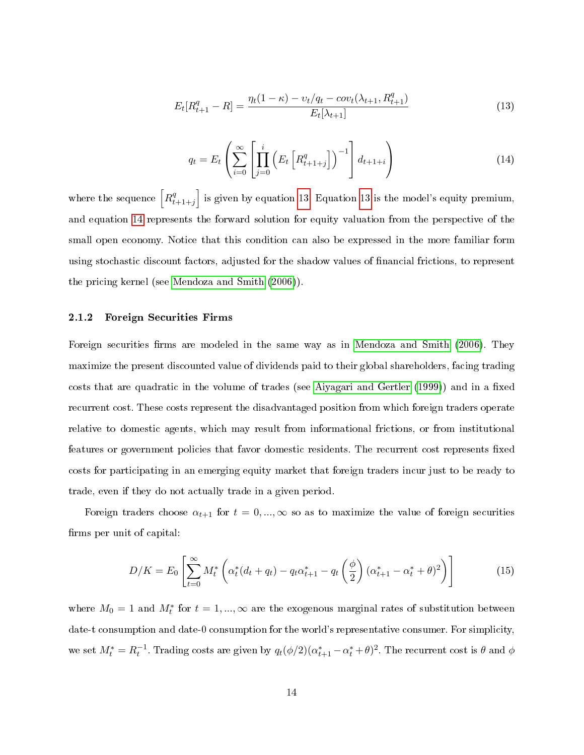<span id="page-14-0"></span>
$$
E_t[R_{t+1}^q - R] = \frac{\eta_t(1 - \kappa) - \nu_t/q_t - cov_t(\lambda_{t+1}, R_{t+1}^q)}{E_t[\lambda_{t+1}]}
$$
\n(13)

<span id="page-14-1"></span>
$$
q_t = E_t \left( \sum_{i=0}^{\infty} \left[ \prod_{j=0}^{i} \left( E_t \left[ R_{t+1+j}^q \right] \right)^{-1} \right] d_{t+1+i} \right) \tag{14}
$$

where the sequence  $\left[R_t^q\right]$  $\begin{bmatrix} q \\ t+1+j \end{bmatrix}$  is given by equation [13.](#page-14-0) Equation [13](#page-14-0) is the model's equity premium, and equation [14](#page-14-1) represents the forward solution for equity valuation from the perspective of the small open economy. Notice that this condition can also be expressed in the more familiar form using stochastic discount factors, adjusted for the shadow values of nancial frictions, to represent the pricing kernel (see [Mendoza and Smith](#page-44-6) [\(2006\)](#page-44-6)).

#### 2.1.2 Foreign Securities Firms

Foreign securities firms are modeled in the same way as in [Mendoza and Smith](#page-44-6) [\(2006\)](#page-44-6). They maximize the present discounted value of dividends paid to their global shareholders, facing trading costs that are quadratic in the volume of trades (see [Aiyagari and Gertler](#page-42-6) [\(1999\)](#page-42-6)) and in a fixed recurrent cost. These costs represent the disadvantaged position from which foreign traders operate relative to domestic agents, which may result from informational frictions, or from institutional features or government policies that favor domestic residents. The recurrent cost represents fixed costs for participating in an emerging equity market that foreign traders incur just to be ready to trade, even if they do not actually trade in a given period.

Foreign traders choose  $\alpha_{t+1}$  for  $t = 0, ..., \infty$  so as to maximize the value of foreign securities firms per unit of capital:

$$
D/K = E_0 \left[ \sum_{t=0}^{\infty} M_t^* \left( \alpha_t^* (d_t + q_t) - q_t \alpha_{t+1}^* - q_t \left( \frac{\phi}{2} \right) (\alpha_{t+1}^* - \alpha_t^* + \theta)^2 \right) \right]
$$
(15)

where  $M_0 = 1$  and  $M_t^*$  for  $t = 1, ..., \infty$  are the exogenous marginal rates of substitution between date-t consumption and date-0 consumption for the world's representative consumer. For simplicity, we set  $M_t^* = R_t^{-1}$ . Trading costs are given by  $q_t(\phi/2)(\alpha_{t+1}^* - \alpha_t^* + \theta)^2$ . The recurrent cost is  $\theta$  and  $\phi$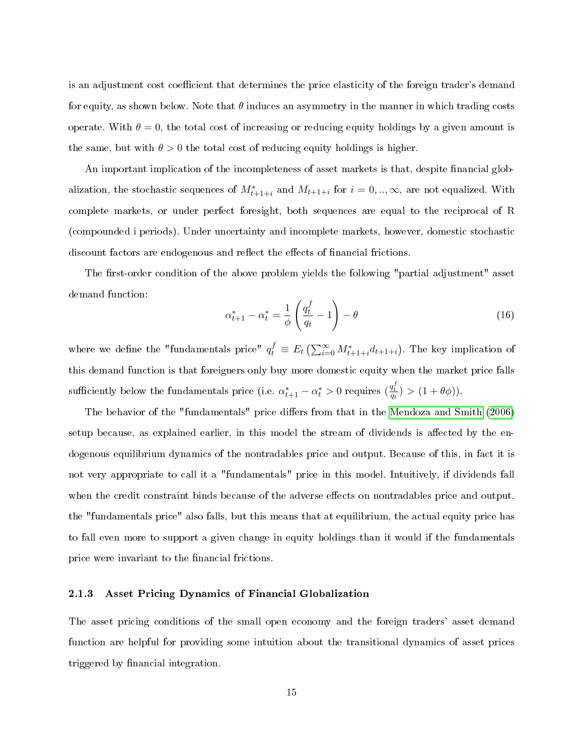is an adjustment cost coefficient that determines the price elasticity of the foreign trader's demand for equity, as shown below. Note that  $\theta$  induces an asymmetry in the manner in which trading costs operate. With  $\theta = 0$ , the total cost of increasing or reducing equity holdings by a given amount is the same, but with  $\theta > 0$  the total cost of reducing equity holdings is higher.

An important implication of the incompleteness of asset markets is that, despite financial globalization, the stochastic sequences of  $M^*_{t+1+i}$  and  $M_{t+1+i}$  for  $i = 0, ..., \infty$ , are not equalized. With complete markets, or under perfect foresight, both sequences are equal to the reciprocal of R (compounded i periods). Under uncertainty and incomplete markets, however, domestic stochastic discount factors are endogenous and reflect the effects of financial frictions.

The first-order condition of the above problem yields the following "partial adjustment" asset demand function:

$$
\alpha_{t+1}^* - \alpha_t^* = \frac{1}{\phi} \left( \frac{q_t^f}{q_t} - 1 \right) - \theta \tag{16}
$$

where we define the "fundamentals price"  $q_t^f \equiv E_t \left( \sum_{i=0}^{\infty} M_{t+1+i}^* d_{t+1+i} \right)$ . The key implication of this demand function is that foreigners only buy more domestic equity when the market price falls sufficiently below the fundamentals price (i.e.  $\alpha^*_{t+1} - \alpha^*_t > 0$  requires  $(\frac{q^f_t}{q_t}) > (1 + \theta \phi)$ ).

The behavior of the "fundamentals" price differs from that in the [Mendoza and Smith](#page-44-6) [\(2006\)](#page-44-6) setup because, as explained earlier, in this model the stream of dividends is affected by the endogenous equilibrium dynamics of the nontradables price and output. Because of this, in fact it is not very appropriate to call it a "fundamentals" price in this model. Intuitively, if dividends fall when the credit constraint binds because of the adverse effects on nontradables price and output, the "fundamentals price" also falls, but this means that at equilibrium, the actual equity price has to fall even more to support a given change in equity holdings than it would if the fundamentals price were invariant to the financial frictions.

### 2.1.3 Asset Pricing Dynamics of Financial Globalization

The asset pricing conditions of the small open economy and the foreign traders' asset demand function are helpful for providing some intuition about the transitional dynamics of asset prices triggered by financial integration.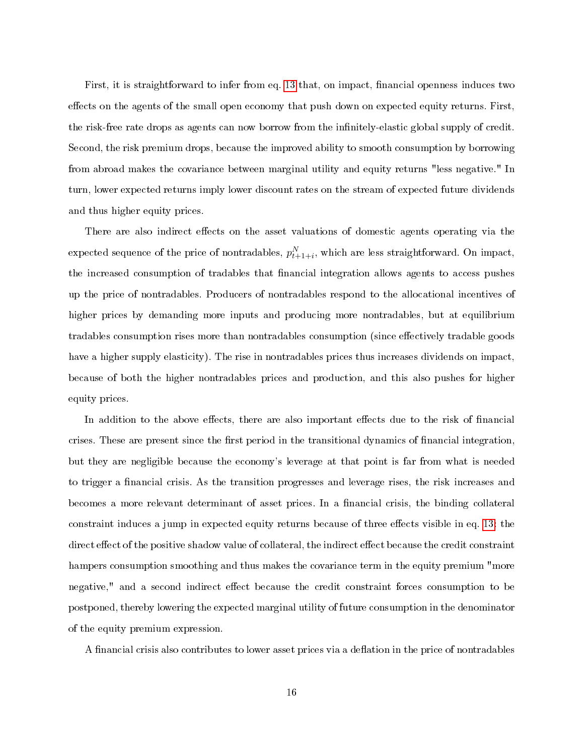First, it is straightforward to infer from eq. [13](#page-14-0) that, on impact, financial openness induces two effects on the agents of the small open economy that push down on expected equity returns. First, the risk-free rate drops as agents can now borrow from the infinitely-elastic global supply of credit. Second, the risk premium drops, because the improved ability to smooth consumption by borrowing from abroad makes the covariance between marginal utility and equity returns "less negative." In turn, lower expected returns imply lower discount rates on the stream of expected future dividends and thus higher equity prices.

There are also indirect effects on the asset valuations of domestic agents operating via the expected sequence of the price of nontradables,  $p_{t+1+i}^N$ , which are less straightforward. On impact, the increased consumption of tradables that financial integration allows agents to access pushes up the price of nontradables. Producers of nontradables respond to the allocational incentives of higher prices by demanding more inputs and producing more nontradables, but at equilibrium tradables consumption rises more than nontradables consumption (since effectively tradable goods have a higher supply elasticity). The rise in nontradables prices thus increases dividends on impact, because of both the higher nontradables prices and production, and this also pushes for higher equity prices.

In addition to the above effects, there are also important effects due to the risk of financial crises. These are present since the first period in the transitional dynamics of financial integration, but they are negligible because the economy's leverage at that point is far from what is needed to trigger a financial crisis. As the transition progresses and leverage rises, the risk increases and becomes a more relevant determinant of asset prices. In a financial crisis, the binding collateral constraint induces a jump in expected equity returns because of three effects visible in eq. [13:](#page-14-0) the direct effect of the positive shadow value of collateral, the indirect effect because the credit constraint hampers consumption smoothing and thus makes the covariance term in the equity premium "more negative," and a second indirect effect because the credit constraint forces consumption to be postponed, thereby lowering the expected marginal utility of future consumption in the denominator of the equity premium expression.

A financial crisis also contributes to lower asset prices via a deflation in the price of nontradables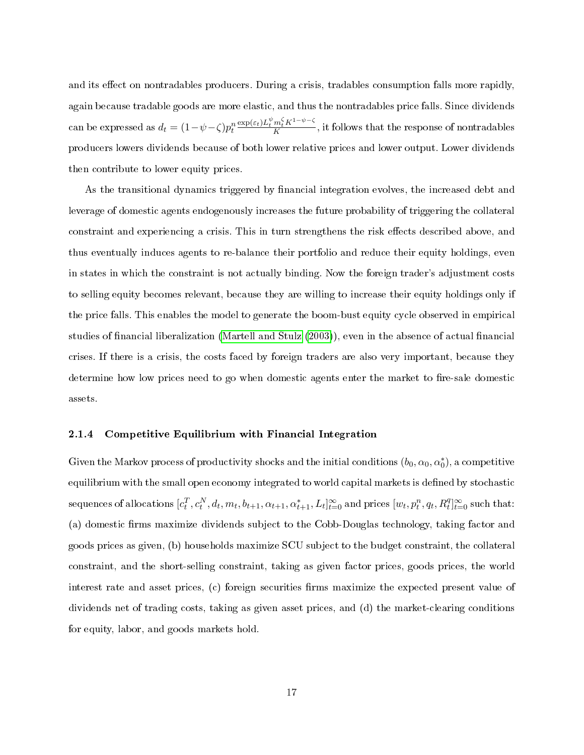and its effect on nontradables producers. During a crisis, tradables consumption falls more rapidly, again because tradable goods are more elastic, and thus the nontradables price falls. Since dividends can be expressed as  $d_t = (1 - \psi - \zeta)p_t^n \frac{\exp(\varepsilon_t)L_t^{\psi}m_t^{\zeta}K^{1-\psi-\zeta}}{K}$ , it follows that the response of nontradables producers lowers dividends because of both lower relative prices and lower output. Lower dividends then contribute to lower equity prices.

As the transitional dynamics triggered by financial integration evolves, the increased debt and leverage of domestic agents endogenously increases the future probability of triggering the collateral constraint and experiencing a crisis. This in turn strengthens the risk effects described above, and thus eventually induces agents to re-balance their portfolio and reduce their equity holdings, even in states in which the constraint is not actually binding. Now the foreign trader's adjustment costs to selling equity becomes relevant, because they are willing to increase their equity holdings only if the price falls. This enables the model to generate the boom-bust equity cycle observed in empirical studies of financial liberalization [\(Martell and Stulz](#page-44-8) [\(2003\)](#page-44-8)), even in the absence of actual financial crises. If there is a crisis, the costs faced by foreign traders are also very important, because they determine how low prices need to go when domestic agents enter the market to fire-sale domestic assets.

#### 2.1.4 Competitive Equilibrium with Financial Integration

Given the Markov process of productivity shocks and the initial conditions  $(b_0, \alpha_0, \alpha_0^*)$ , a competitive equilibrium with the small open economy integrated to world capital markets is defined by stochastic sequences of allocations  $[c_t^T, c_t^N, d_t, m_t, b_{t+1}, \alpha_{t+1}, \alpha_{t+1}^*, L_t]_{t=0}^\infty$  and prices  $[w_t, p_t^n, q_t, R_t^q]_{t=0}^\infty$  such that: (a) domestic firms maximize dividends subject to the Cobb-Douglas technology, taking factor and goods prices as given, (b) households maximize SCU subject to the budget constraint, the collateral constraint, and the short-selling constraint, taking as given factor prices, goods prices, the world interest rate and asset prices, (c) foreign securities firms maximize the expected present value of dividends net of trading costs, taking as given asset prices, and (d) the market-clearing conditions for equity, labor, and goods markets hold.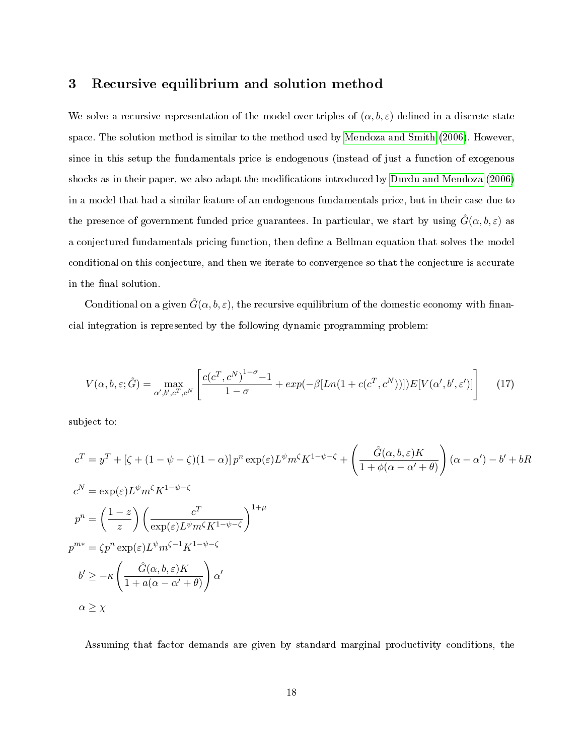### <span id="page-18-0"></span>3 Recursive equilibrium and solution method

We solve a recursive representation of the model over triples of  $(\alpha, b, \varepsilon)$  defined in a discrete state space. The solution method is similar to the method used by [Mendoza and Smith](#page-44-6) [\(2006\)](#page-44-6). However, since in this setup the fundamentals price is endogenous (instead of just a function of exogenous shocks as in their paper, we also adapt the modifications introduced by [Durdu and Mendoza](#page-43-7) [\(2006\)](#page-43-7) in a model that had a similar feature of an endogenous fundamentals price, but in their case due to the presence of government funded price guarantees. In particular, we start by using  $\hat{G}(\alpha, b, \varepsilon)$  as a conjectured fundamentals pricing function, then define a Bellman equation that solves the model conditional on this conjecture, and then we iterate to convergence so that the conjecture is accurate in the final solution.

Conditional on a given  $\hat{G}(\alpha, b, \varepsilon)$ , the recursive equilibrium of the domestic economy with financial integration is represented by the following dynamic programming problem:

$$
V(\alpha, b, \varepsilon; \hat{G}) = \max_{\alpha', b', c^T, c^N} \left[ \frac{c(c^T, c^N)^{1-\sigma} - 1}{1-\sigma} + \exp(-\beta [Ln(1 + c(c^T, c^N))]) E[V(\alpha', b', \varepsilon')] \right]
$$
(17)

subject to:

$$
c^{T} = y^{T} + \left[\zeta + (1 - \psi - \zeta)(1 - \alpha)\right]p^{n} \exp(\varepsilon)L^{\psi}m^{\zeta}K^{1 - \psi - \zeta} + \left(\frac{\hat{G}(\alpha, b, \varepsilon)K}{1 + \phi(\alpha - \alpha' + \theta)}\right)(\alpha - \alpha') - b' + bR
$$
  
\n
$$
c^{N} = \exp(\varepsilon)L^{\psi}m^{\zeta}K^{1 - \psi - \zeta}
$$
  
\n
$$
p^{n} = \left(\frac{1 - z}{z}\right)\left(\frac{c^{T}}{\exp(\varepsilon)L^{\psi}m^{\zeta}K^{1 - \psi - \zeta}}\right)^{1 + \mu}
$$
  
\n
$$
p^{m*} = \zeta p^{n} \exp(\varepsilon)L^{\psi}m^{\zeta - 1}K^{1 - \psi - \zeta}
$$
  
\n
$$
b' \ge -\kappa\left(\frac{\hat{G}(\alpha, b, \varepsilon)K}{1 + a(\alpha - \alpha' + \theta)}\right)\alpha'
$$
  
\n
$$
\alpha \ge \chi
$$

Assuming that factor demands are given by standard marginal productivity conditions, the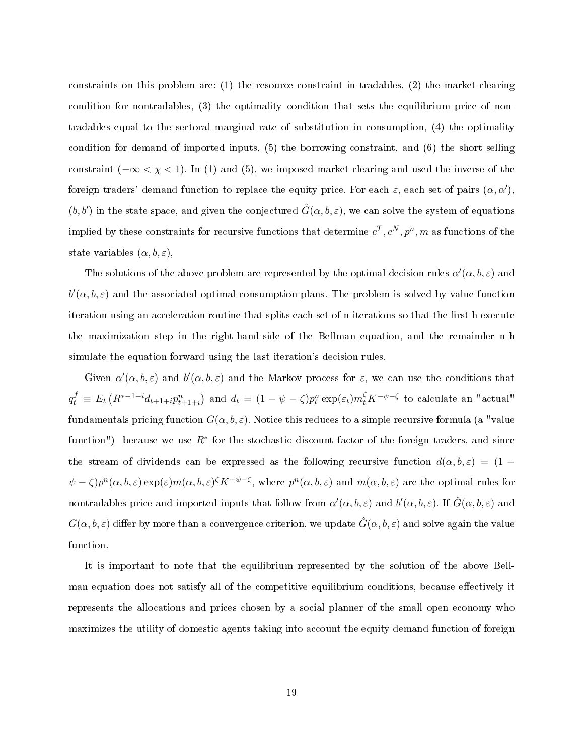constraints on this problem are: (1) the resource constraint in tradables, (2) the market-clearing condition for nontradables, (3) the optimality condition that sets the equilibrium price of nontradables equal to the sectoral marginal rate of substitution in consumption, (4) the optimality condition for demand of imported inputs, (5) the borrowing constraint, and (6) the short selling constraint ( $-\infty < \chi < 1$ ). In (1) and (5), we imposed market clearing and used the inverse of the foreign traders' demand function to replace the equity price. For each  $\varepsilon$ , each set of pairs  $(\alpha, \alpha')$ ,  $(b, b')$  in the state space, and given the conjectured  $\hat{G}(\alpha, b, \varepsilon)$ , we can solve the system of equations implied by these constraints for recursive functions that determine  $c^T, c^N, p^n, m$  as functions of the state variables  $(\alpha, b, \varepsilon)$ ,

The solutions of the above problem are represented by the optimal decision rules  $\alpha'(\alpha, b, \varepsilon)$  and  $b'(\alpha, b, \varepsilon)$  and the associated optimal consumption plans. The problem is solved by value function iteration using an acceleration routine that splits each set of n iterations so that the first h execute the maximization step in the right-hand-side of the Bellman equation, and the remainder n-h simulate the equation forward using the last iteration's decision rules.

Given  $\alpha'(\alpha, b, \varepsilon)$  and  $b'(\alpha, b, \varepsilon)$  and the Markov process for  $\varepsilon$ , we can use the conditions that  $q_t^f \equiv E_t\left(R^{*-1-i}d_{t+1+i}p_{t+1+i}^n\right)$  and  $d_t = (1 - \psi - \zeta)p_t^n \exp(\varepsilon_t)m_t^{\zeta}K^{-\psi-\zeta}$  to calculate an "actual" fundamentals pricing function  $G(\alpha, b, \varepsilon)$ . Notice this reduces to a simple recursive formula (a "value function") because we use  $R^*$  for the stochastic discount factor of the foreign traders, and since the stream of dividends can be expressed as the following recursive function  $d(\alpha, b, \varepsilon) = (1 (\psi - \zeta) p^n(\alpha, b, \varepsilon) \exp(\varepsilon) m(\alpha, b, \varepsilon)^{\zeta} K^{-\psi - \zeta}$ , where  $p^n(\alpha, b, \varepsilon)$  and  $m(\alpha, b, \varepsilon)$  are the optimal rules for nontradables price and imported inputs that follow from  $\alpha'(\alpha, b, \varepsilon)$  and  $b'(\alpha, b, \varepsilon)$ . If  $\hat{G}(\alpha, b, \varepsilon)$  and  $G(\alpha, b, \varepsilon)$  differ by more than a convergence criterion, we update  $\hat{G}(\alpha, b, \varepsilon)$  and solve again the value function.

It is important to note that the equilibrium represented by the solution of the above Bellman equation does not satisfy all of the competitive equilibrium conditions, because effectively it represents the allocations and prices chosen by a social planner of the small open economy who maximizes the utility of domestic agents taking into account the equity demand function of foreign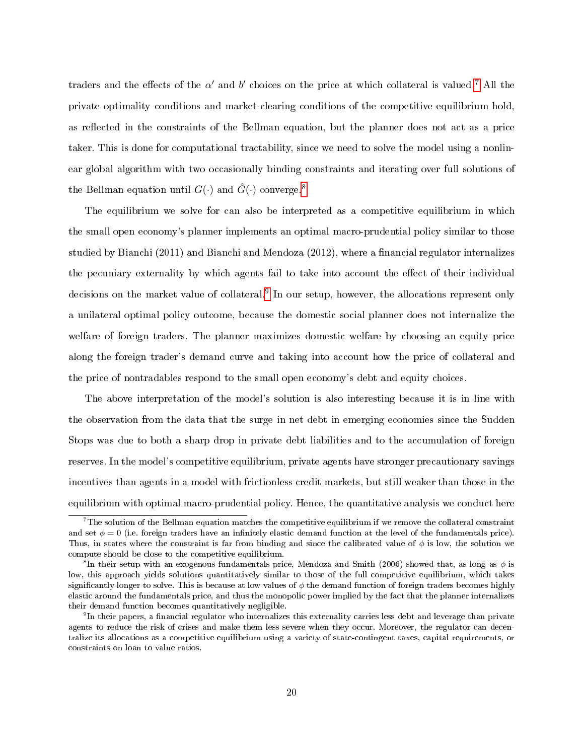traders and the effects of the  $\alpha'$  and  $b'$  choices on the price at which collateral is valued.<sup>[7](#page-20-0)</sup> All the private optimality conditions and market-clearing conditions of the competitive equilibrium hold, as reflected in the constraints of the Bellman equation, but the planner does not act as a price taker. This is done for computational tractability, since we need to solve the model using a nonlinear global algorithm with two occasionally binding constraints and iterating over full solutions of the Bellman equation until  $G(\cdot)$  and  $\hat{G}(\cdot)$  converge.<sup>[8](#page-20-1)</sup>

The equilibrium we solve for can also be interpreted as a competitive equilibrium in which the small open economy's planner implements an optimal macro-prudential policy similar to those studied by Bianchi  $(2011)$  and Bianchi and Mendoza  $(2012)$ , where a financial regulator internalizes the pecuniary externality by which agents fail to take into account the effect of their individual decisions on the market value of collateral.<sup>[9](#page-20-2)</sup> In our setup, however, the allocations represent only a unilateral optimal policy outcome, because the domestic social planner does not internalize the welfare of foreign traders. The planner maximizes domestic welfare by choosing an equity price along the foreign trader's demand curve and taking into account how the price of collateral and the price of nontradables respond to the small open economy's debt and equity choices.

The above interpretation of the model's solution is also interesting because it is in line with the observation from the data that the surge in net debt in emerging economies since the Sudden Stops was due to both a sharp drop in private debt liabilities and to the accumulation of foreign reserves. In the model's competitive equilibrium, private agents have stronger precautionary savings incentives than agents in a model with frictionless credit markets, but still weaker than those in the equilibrium with optimal macro-prudential policy. Hence, the quantitative analysis we conduct here

<span id="page-20-0"></span> $^{7}\rm{The~solution~of~the~Bellman~equation~matches~the~competitive~equilibrium~if~we~remove~the~collateral~constraint}$ and set  $\phi = 0$  (i.e. foreign traders have an infinitely elastic demand function at the level of the fundamentals price). Thus, in states where the constraint is far from binding and since the calibrated value of  $\phi$  is low, the solution we compute should be close to the competitive equilibrium.

<span id="page-20-1"></span> $^{\tilde{8}}$ In their setup with an exogenous fundamentals price, Mendoza and Smith (2006) showed that, as long as  $\phi$  is low, this approach yields solutions quantitatively similar to those of the full competitive equilibrium, which takes significantly longer to solve. This is because at low values of  $\phi$  the demand function of foreign traders becomes highly elastic around the fundamentals price, and thus the monopolic power implied by the fact that the planner internalizes their demand function becomes quantitatively negligible.

<span id="page-20-2"></span> $^{9}$ In their papers, a financial regulator who internalizes this externality carries less debt and leverage than private agents to reduce the risk of crises and make them less severe when they occur. Moreover, the regulator can decentralize its allocations as a competitive equilibrium using a variety of state-contingent taxes, capital requirements, or constraints on loan to value ratios.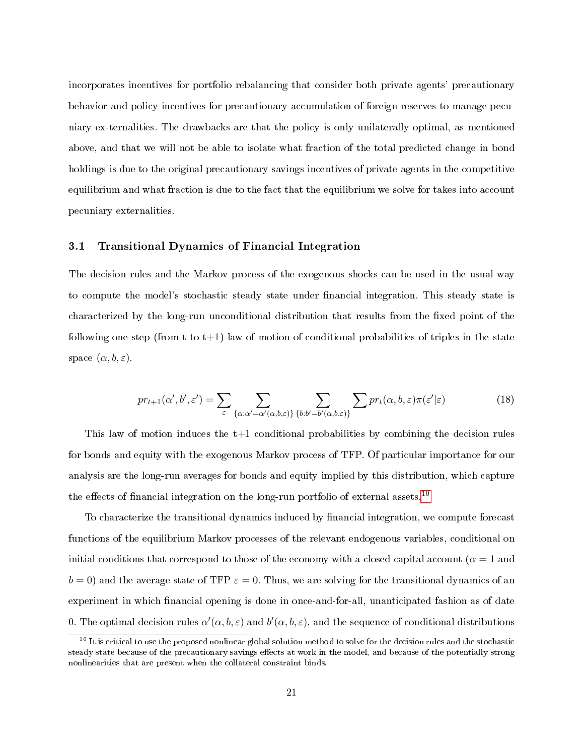incorporates incentives for portfolio rebalancing that consider both private agents' precautionary behavior and policy incentives for precautionary accumulation of foreign reserves to manage pecuniary ex-ternalities. The drawbacks are that the policy is only unilaterally optimal, as mentioned above, and that we will not be able to isolate what fraction of the total predicted change in bond holdings is due to the original precautionary savings incentives of private agents in the competitive equilibrium and what fraction is due to the fact that the equilibrium we solve for takes into account pecuniary externalities.

### 3.1 Transitional Dynamics of Financial Integration

The decision rules and the Markov process of the exogenous shocks can be used in the usual way to compute the model's stochastic steady state under financial integration. This steady state is characterized by the long-run unconditional distribution that results from the fixed point of the following one-step (from t to t+1) law of motion of conditional probabilities of triples in the state space  $(\alpha, b, \varepsilon)$ .

$$
pr_{t+1}(\alpha', b', \varepsilon') = \sum_{\varepsilon} \sum_{\{\alpha : \alpha' = \alpha'(\alpha, b, \varepsilon)\}} \sum_{\{b : b' = b'(\alpha, b, \varepsilon)\}} \sum pr_t(\alpha, b, \varepsilon) \pi(\varepsilon' | \varepsilon)
$$
(18)

This law of motion induces the  $t+1$  conditional probabilities by combining the decision rules for bonds and equity with the exogenous Markov process of TFP. Of particular importance for our analysis are the long-run averages for bonds and equity implied by this distribution, which capture the effects of financial integration on the long-run portfolio of external assets.<sup>[10](#page-21-0)</sup>

To characterize the transitional dynamics induced by financial integration, we compute forecast functions of the equilibrium Markov processes of the relevant endogenous variables, conditional on initial conditions that correspond to those of the economy with a closed capital account ( $\alpha = 1$  and  $b = 0$ ) and the average state of TFP  $\varepsilon = 0$ . Thus, we are solving for the transitional dynamics of an experiment in which financial opening is done in once-and-for-all, unanticipated fashion as of date 0. The optimal decision rules  $\alpha'(\alpha, b, \varepsilon)$  and  $b'(\alpha, b, \varepsilon)$ , and the sequence of conditional distributions

<span id="page-21-0"></span> $10$  It is critical to use the proposed nonlinear global solution method to solve for the decision rules and the stochastic steady state because of the precautionary savings effects at work in the model, and because of the potentially strong nonlinearities that are present when the collateral constraint binds.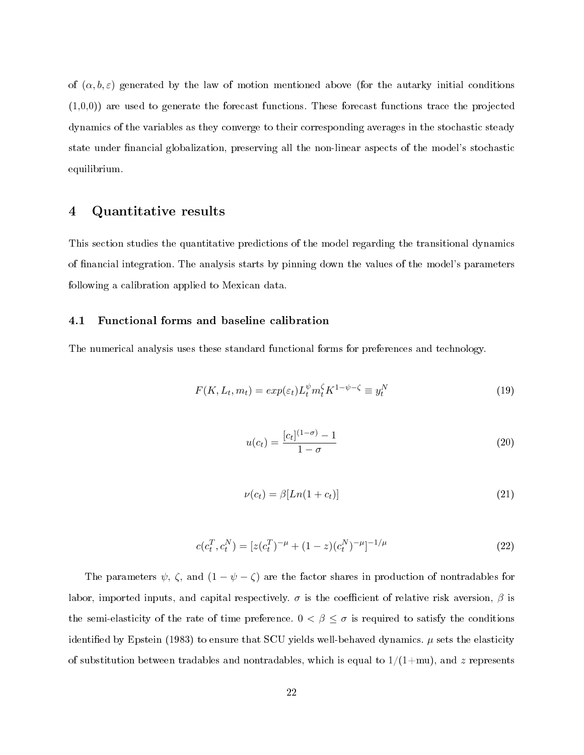of  $(\alpha, b, \varepsilon)$  generated by the law of motion mentioned above (for the autarky initial conditions  $(1,0,0)$  are used to generate the forecast functions. These forecast functions trace the projected dynamics of the variables as they converge to their corresponding averages in the stochastic steady state under financial globalization, preserving all the non-linear aspects of the model's stochastic equilibrium.

# <span id="page-22-0"></span>4 Quantitative results

This section studies the quantitative predictions of the model regarding the transitional dynamics of nancial integration. The analysis starts by pinning down the values of the model's parameters following a calibration applied to Mexican data.

### 4.1 Functional forms and baseline calibration

The numerical analysis uses these standard functional forms for preferences and technology.

$$
F(K, L_t, m_t) = exp(\varepsilon_t) L_t^{\psi} m_t^{\zeta} K^{1-\psi-\zeta} \equiv y_t^N
$$
\n(19)

$$
u(c_t) = \frac{[c_t]^{(1-\sigma)} - 1}{1 - \sigma} \tag{20}
$$

$$
\nu(c_t) = \beta [Ln(1+c_t)] \tag{21}
$$

$$
c(c_t^T, c_t^N) = [z(c_t^T)^{-\mu} + (1-z)(c_t^N)^{-\mu}]^{-1/\mu}
$$
\n(22)

The parameters  $\psi$ ,  $\zeta$ , and  $(1 - \psi - \zeta)$  are the factor shares in production of nontradables for labor, imported inputs, and capital respectively.  $\sigma$  is the coefficient of relative risk aversion,  $\beta$  is the semi-elasticity of the rate of time preference.  $0 < \beta \leq \sigma$  is required to satisfy the conditions identified by Epstein (1983) to ensure that SCU yields well-behaved dynamics.  $\mu$  sets the elasticity of substitution between tradables and nontradables, which is equal to  $1/(1+mu)$ , and z represents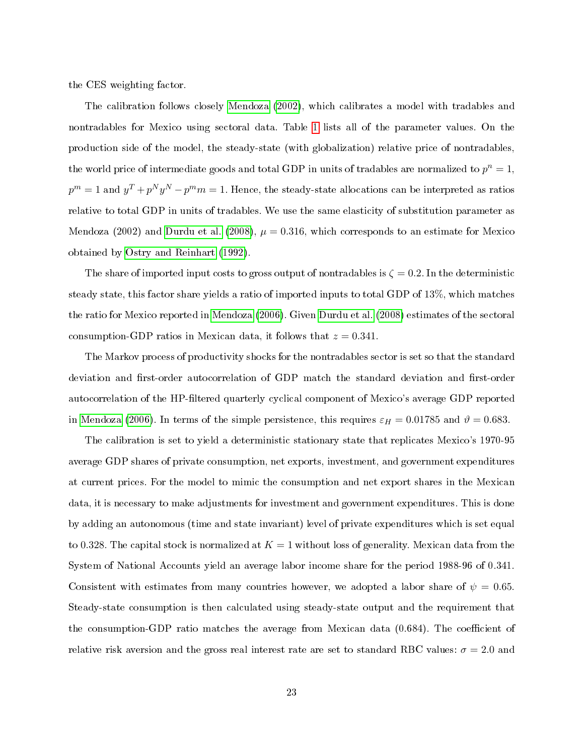the CES weighting factor.

The calibration follows closely [Mendoza](#page-44-9) [\(2002\)](#page-44-9), which calibrates a model with tradables and nontradables for Mexico using sectoral data. Table [1](#page-24-0) lists all of the parameter values. On the production side of the model, the steady-state (with globalization) relative price of nontradables, the world price of intermediate goods and total GDP in units of tradables are normalized to  $p^n = 1$ ,  $p^m = 1$  and  $y^T + p^N y^N - p^m m = 1$ . Hence, the steady-state allocations can be interpreted as ratios relative to total GDP in units of tradables. We use the same elasticity of substitution parameter as Mendoza (2002) and [Durdu et al.](#page-43-4) [\(2008\)](#page-43-4),  $\mu = 0.316$ , which corresponds to an estimate for Mexico obtained by [Ostry and Reinhart](#page-45-0) [\(1992\)](#page-45-0).

The share of imported input costs to gross output of nontradables is  $\zeta = 0.2$ . In the deterministic steady state, this factor share yields a ratio of imported inputs to total GDP of 13%, which matches the ratio for Mexico reported in [Mendoza](#page-44-10) [\(2006\)](#page-44-10). Given [Durdu et al.](#page-43-4) [\(2008\)](#page-43-4) estimates of the sectoral consumption-GDP ratios in Mexican data, it follows that  $z = 0.341$ .

The Markov process of productivity shocks for the nontradables sector is set so that the standard deviation and first-order autocorrelation of GDP match the standard deviation and first-order autocorrelation of the HP-filtered quarterly cyclical component of Mexico's average GDP reported in [Mendoza](#page-44-10) [\(2006\)](#page-44-10). In terms of the simple persistence, this requires  $\varepsilon_H = 0.01785$  and  $\vartheta = 0.683$ .

The calibration is set to yield a deterministic stationary state that replicates Mexico's 1970-95 average GDP shares of private consumption, net exports, investment, and government expenditures at current prices. For the model to mimic the consumption and net export shares in the Mexican data, it is necessary to make adjustments for investment and government expenditures. This is done by adding an autonomous (time and state invariant) level of private expenditures which is set equal to 0.328. The capital stock is normalized at  $K = 1$  without loss of generality. Mexican data from the System of National Accounts yield an average labor income share for the period 1988-96 of 0.341. Consistent with estimates from many countries however, we adopted a labor share of  $\psi = 0.65$ . Steady-state consumption is then calculated using steady-state output and the requirement that the consumption-GDP ratio matches the average from Mexican data  $(0.684)$ . The coefficient of relative risk aversion and the gross real interest rate are set to standard RBC values:  $\sigma = 2.0$  and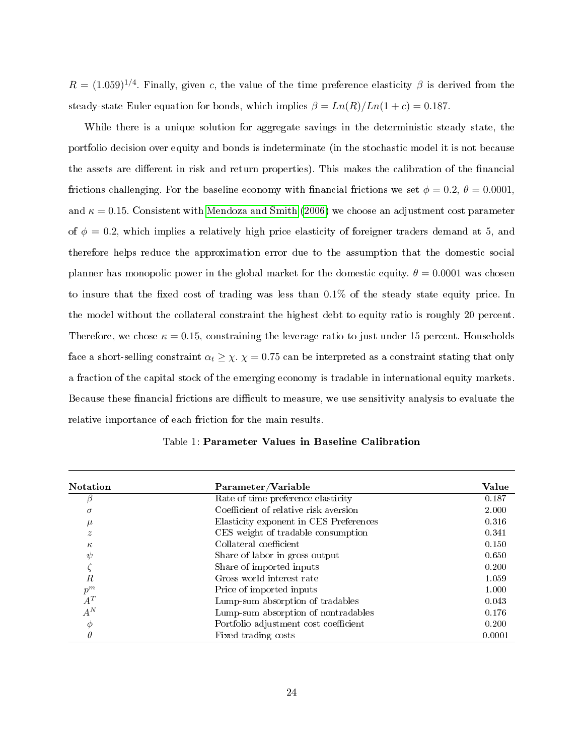$R = (1.059)^{1/4}$ . Finally, given c, the value of the time preference elasticity  $\beta$  is derived from the steady-state Euler equation for bonds, which implies  $\beta = Ln(R)/Ln(1 + c) = 0.187$ .

While there is a unique solution for aggregate savings in the deterministic steady state, the portfolio decision over equity and bonds is indeterminate (in the stochastic model it is not because the assets are different in risk and return properties). This makes the calibration of the financial frictions challenging. For the baseline economy with financial frictions we set  $\phi = 0.2$ ,  $\theta = 0.0001$ , and  $\kappa = 0.15$ . Consistent with [Mendoza and Smith](#page-44-6) [\(2006\)](#page-44-6) we choose an adjustment cost parameter of  $\phi = 0.2$ , which implies a relatively high price elasticity of foreigner traders demand at 5, and therefore helps reduce the approximation error due to the assumption that the domestic social planner has monopolic power in the global market for the domestic equity.  $\theta = 0.0001$  was chosen to insure that the fixed cost of trading was less than  $0.1\%$  of the steady state equity price. In the model without the collateral constraint the highest debt to equity ratio is roughly 20 percent. Therefore, we chose  $\kappa = 0.15$ , constraining the leverage ratio to just under 15 percent. Households face a short-selling constraint  $\alpha_t \geq \chi$ .  $\chi = 0.75$  can be interpreted as a constraint stating that only a fraction of the capital stock of the emerging economy is tradable in international equity markets. Because these financial frictions are difficult to measure, we use sensitivity analysis to evaluate the relative importance of each friction for the main results.

<span id="page-24-0"></span>

| <b>Notation</b>  | Parameter/Variable                     | <b>Value</b> |
|------------------|----------------------------------------|--------------|
| β                | Rate of time preference elasticity     | 0.187        |
| $\sigma$         | Coefficient of relative risk aversion  | 2.000        |
| $\mu$            | Elasticity exponent in CES Preferences | 0.316        |
| $\tilde{z}$      | CES weight of tradable consumption     | 0.341        |
| $\kappa$         | Collateral coefficient                 | 0.150        |
| $\psi$           | Share of labor in gross output         | 0.650        |
|                  | Share of imported inputs               | 0.200        |
| $\boldsymbol{R}$ | Gross world interest rate              | 1.059        |
| $p^m$            | Price of imported inputs               | 1.000        |
| $A^T$            | Lump-sum absorption of tradables       | 0.043        |
| $A^N$            | Lump-sum absorption of nontradables    | 0.176        |
| $\phi$           | Portfolio adjustment cost coefficient  | 0.200        |
| $\theta$         | Fixed trading costs                    | 0.0001       |

Table 1: Parameter Values in Baseline Calibration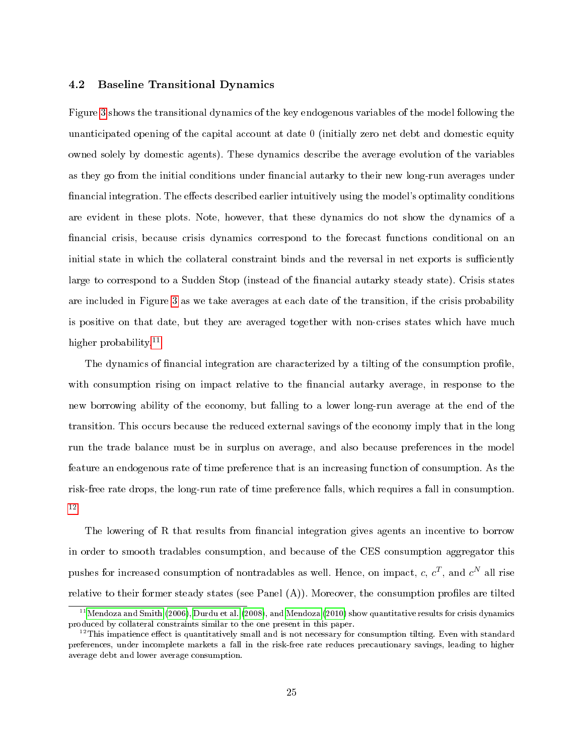#### 4.2 Baseline Transitional Dynamics

Figure [3](#page-27-0) shows the transitional dynamics of the key endogenous variables of the model following the unanticipated opening of the capital account at date 0 (initially zero net debt and domestic equity owned solely by domestic agents). These dynamics describe the average evolution of the variables as they go from the initial conditions under financial autarky to their new long-run averages under financial integration. The effects described earlier intuitively using the model's optimality conditions are evident in these plots. Note, however, that these dynamics do not show the dynamics of a financial crisis, because crisis dynamics correspond to the forecast functions conditional on an initial state in which the collateral constraint binds and the reversal in net exports is sufficiently large to correspond to a Sudden Stop (instead of the financial autarky steady state). Crisis states are included in Figure [3](#page-27-0) as we take averages at each date of the transition, if the crisis probability is positive on that date, but they are averaged together with non-crises states which have much higher probability.<sup>[11](#page-25-0)</sup>

The dynamics of financial integration are characterized by a tilting of the consumption profile, with consumption rising on impact relative to the financial autarky average, in response to the new borrowing ability of the economy, but falling to a lower long-run average at the end of the transition. This occurs because the reduced external savings of the economy imply that in the long run the trade balance must be in surplus on average, and also because preferences in the model feature an endogenous rate of time preference that is an increasing function of consumption. As the risk-free rate drops, the long-run rate of time preference falls, which requires a fall in consumption. [12](#page-25-1)

The lowering of R that results from financial integration gives agents an incentive to borrow in order to smooth tradables consumption, and because of the CES consumption aggregator this pushes for increased consumption of nontradables as well. Hence, on impact, c,  $c^T$ , and  $c^N$  all rise relative to their former steady states (see Panel  $(A)$ ). Moreover, the consumption profiles are tilted

<span id="page-25-0"></span> $11$ [Mendoza and Smith](#page-44-6) [\(2006\)](#page-44-6), [Durdu et al.](#page-43-4) [\(2008\)](#page-43-4), and [Mendoza](#page-44-5) [\(2010\)](#page-44-5) show quantitative results for crisis dynamics produced by collateral constraints similar to the one present in this paper.

<span id="page-25-1"></span> $12$ This impatience effect is quantitatively small and is not necessary for consumption tilting. Even with standard preferences, under incomplete markets a fall in the risk-free rate reduces precautionary savings, leading to higher average debt and lower average consumption.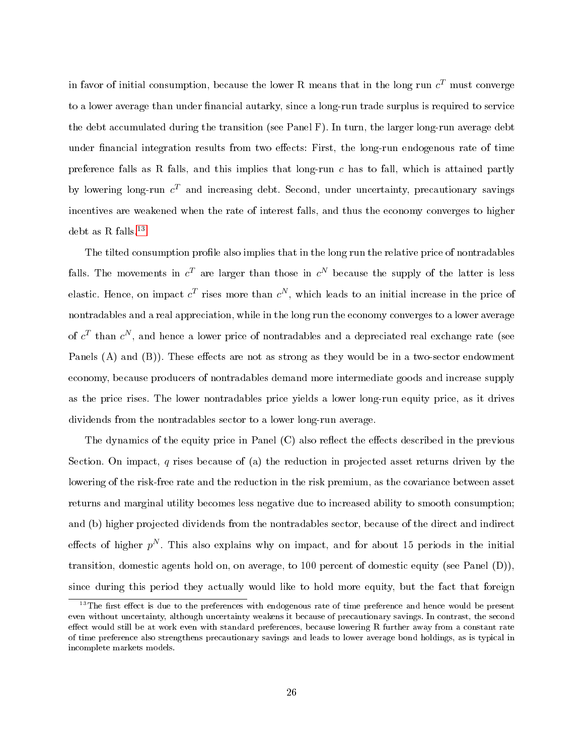in favor of initial consumption, because the lower R means that in the long run  $c^T$  must converge to a lower average than under financial autarky, since a long-run trade surplus is required to service the debt accumulated during the transition (see Panel F). In turn, the larger long-run average debt under financial integration results from two effects: First, the long-run endogenous rate of time preference falls as R falls, and this implies that long-run  $c$  has to fall, which is attained partly by lowering long-run  $c^T$  and increasing debt. Second, under uncertainty, precautionary savings incentives are weakened when the rate of interest falls, and thus the economy converges to higher debt as R falls. $^{\rm 13}$  $^{\rm 13}$  $^{\rm 13}$ 

The tilted consumption profile also implies that in the long run the relative price of nontradables falls. The movements in  $c^T$  are larger than those in  $c^N$  because the supply of the latter is less elastic. Hence, on impact  $c^T$  rises more than  $c^N$ , which leads to an initial increase in the price of nontradables and a real appreciation, while in the long run the economy converges to a lower average of  $c^T$  than  $c^N$ , and hence a lower price of nontradables and a depreciated real exchange rate (see Panels  $(A)$  and  $(B)$ ). These effects are not as strong as they would be in a two-sector endowment economy, because producers of nontradables demand more intermediate goods and increase supply as the price rises. The lower nontradables price yields a lower long-run equity price, as it drives dividends from the nontradables sector to a lower long-run average.

The dynamics of the equity price in Panel (C) also reflect the effects described in the previous Section. On impact, q rises because of (a) the reduction in projected asset returns driven by the lowering of the risk-free rate and the reduction in the risk premium, as the covariance between asset returns and marginal utility becomes less negative due to increased ability to smooth consumption; and (b) higher projected dividends from the nontradables sector, because of the direct and indirect effects of higher  $p^N$ . This also explains why on impact, and for about 15 periods in the initial transition, domestic agents hold on, on average, to 100 percent of domestic equity (see Panel (D)), since during this period they actually would like to hold more equity, but the fact that foreign

<span id="page-26-0"></span> $13$ The first effect is due to the preferences with endogenous rate of time preference and hence would be present even without uncertainty, although uncertainty weakens it because of precautionary savings. In contrast, the second effect would still be at work even with standard preferences, because lowering R further away from a constant rate of time preference also strengthens precautionary savings and leads to lower average bond holdings, as is typical in incomplete markets models.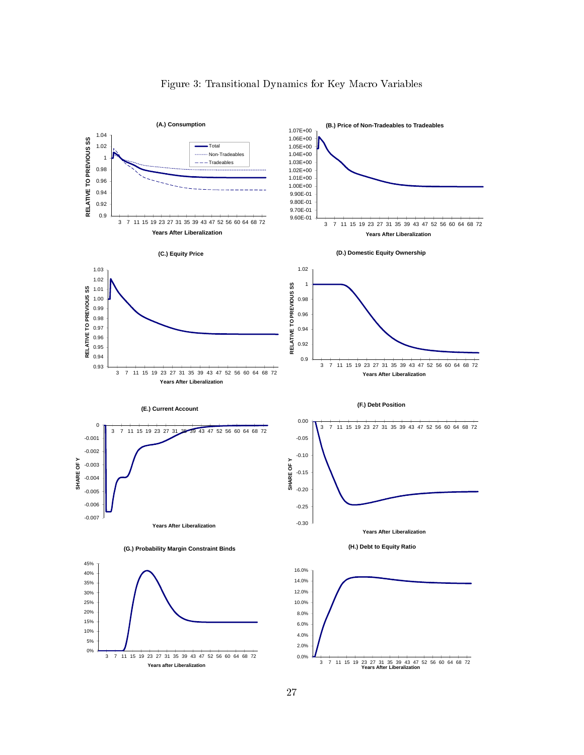<span id="page-27-0"></span>

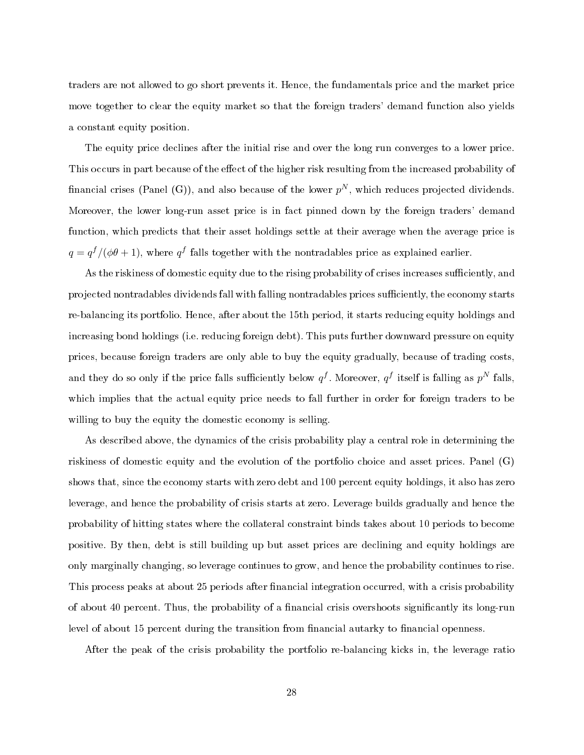traders are not allowed to go short prevents it. Hence, the fundamentals price and the market price move together to clear the equity market so that the foreign traders' demand function also yields a constant equity position.

The equity price declines after the initial rise and over the long run converges to a lower price. This occurs in part because of the effect of the higher risk resulting from the increased probability of financial crises (Panel (G)), and also because of the lower  $p^N$ , which reduces projected dividends. Moreover, the lower long-run asset price is in fact pinned down by the foreign traders' demand function, which predicts that their asset holdings settle at their average when the average price is  $q = q^f/(\phi\theta + 1)$ , where  $q^f$  falls together with the nontradables price as explained earlier.

As the riskiness of domestic equity due to the rising probability of crises increases sufficiently, and projected nontradables dividends fall with falling nontradables prices sufficiently, the economy starts re-balancing its portfolio. Hence, after about the 15th period, it starts reducing equity holdings and increasing bond holdings (i.e. reducing foreign debt). This puts further downward pressure on equity prices, because foreign traders are only able to buy the equity gradually, because of trading costs, and they do so only if the price falls sufficiently below  $q^f$ . Moreover,  $q^f$  itself is falling as  $p^N$  falls, which implies that the actual equity price needs to fall further in order for foreign traders to be willing to buy the equity the domestic economy is selling.

As described above, the dynamics of the crisis probability play a central role in determining the riskiness of domestic equity and the evolution of the portfolio choice and asset prices. Panel (G) shows that, since the economy starts with zero debt and 100 percent equity holdings, it also has zero leverage, and hence the probability of crisis starts at zero. Leverage builds gradually and hence the probability of hitting states where the collateral constraint binds takes about 10 periods to become positive. By then, debt is still building up but asset prices are declining and equity holdings are only marginally changing, so leverage continues to grow, and hence the probability continues to rise. This process peaks at about 25 periods after financial integration occurred, with a crisis probability of about 40 percent. Thus, the probability of a financial crisis overshoots significantly its long-run level of about 15 percent during the transition from financial autarky to financial openness.

After the peak of the crisis probability the portfolio re-balancing kicks in, the leverage ratio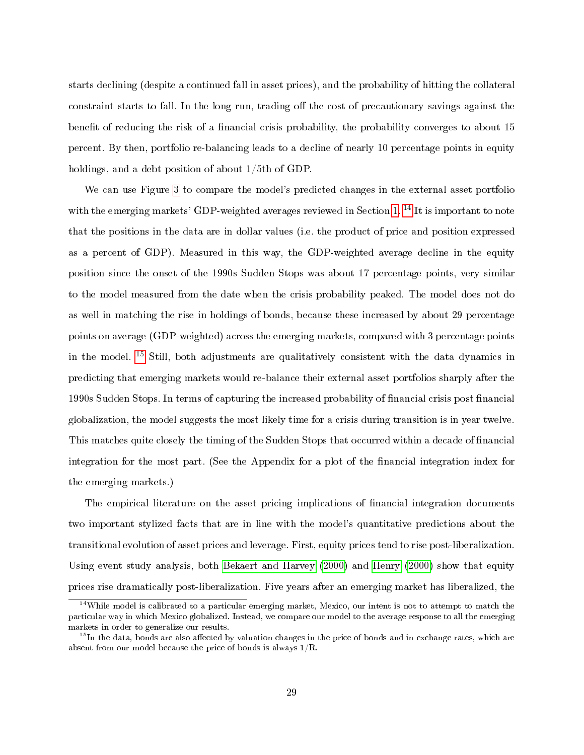starts declining (despite a continued fall in asset prices), and the probability of hitting the collateral constraint starts to fall. In the long run, trading off the cost of precautionary savings against the benefit of reducing the risk of a financial crisis probability, the probability converges to about 15 percent. By then, portfolio re-balancing leads to a decline of nearly 10 percentage points in equity holdings, and a debt position of about 1/5th of GDP.

We can use Figure [3](#page-27-0) to compare the model's predicted changes in the external asset portfolio with the emerging markets' GDP-weighted averages reviewed in Section [1.](#page-2-2)<sup>[14](#page-29-0)</sup> It is important to note that the positions in the data are in dollar values (i.e. the product of price and position expressed as a percent of GDP). Measured in this way, the GDP-weighted average decline in the equity position since the onset of the 1990s Sudden Stops was about 17 percentage points, very similar to the model measured from the date when the crisis probability peaked. The model does not do as well in matching the rise in holdings of bonds, because these increased by about 29 percentage points on average (GDP-weighted) across the emerging markets, compared with 3 percentage points in the model.  $^{15}$  $^{15}$  $^{15}$  Still, both adjustments are qualitatively consistent with the data dynamics in predicting that emerging markets would re-balance their external asset portfolios sharply after the 1990s Sudden Stops. In terms of capturing the increased probability of financial crisis post financial globalization, the model suggests the most likely time for a crisis during transition is in year twelve. This matches quite closely the timing of the Sudden Stops that occurred within a decade of financial integration for the most part. (See the Appendix for a plot of the financial integration index for the emerging markets.)

The empirical literature on the asset pricing implications of financial integration documents two important stylized facts that are in line with the model's quantitative predictions about the transitional evolution of asset prices and leverage. First, equity prices tend to rise post-liberalization. Using event study analysis, both [Bekaert and Harvey](#page-42-7) [\(2000\)](#page-42-7) and [Henry](#page-43-8) [\(2000\)](#page-43-8) show that equity prices rise dramatically post-liberalization. Five years after an emerging market has liberalized, the

<span id="page-29-0"></span><sup>&</sup>lt;sup>14</sup>While model is calibrated to a particular emerging market, Mexico, our intent is not to attempt to match the particular way in which Mexico globalized. Instead, we compare our model to the average response to all the emerging markets in order to generalize our results.

<span id="page-29-1"></span><sup>&</sup>lt;sup>15</sup>In the data, bonds are also affected by valuation changes in the price of bonds and in exchange rates, which are absent from our model because the price of bonds is always 1/R.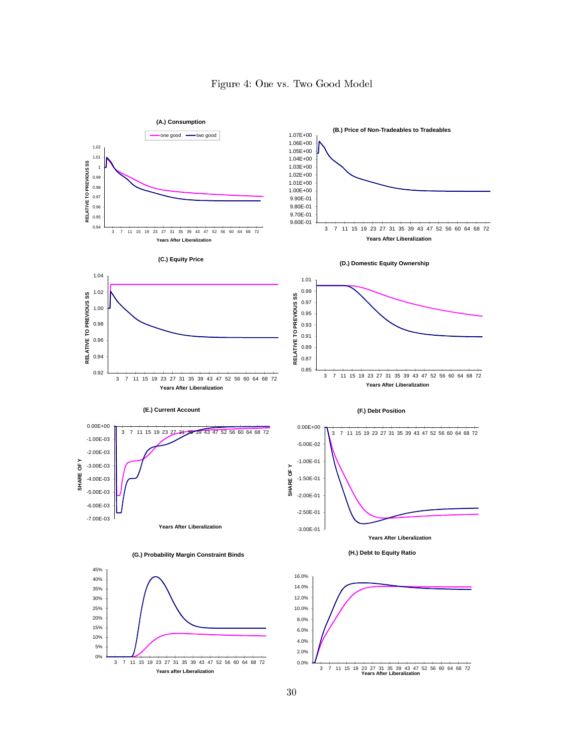<span id="page-30-0"></span>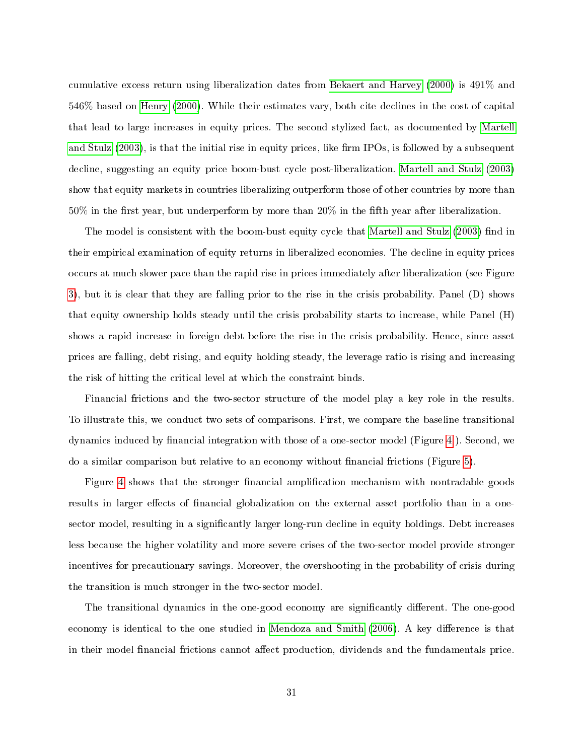cumulative excess return using liberalization dates from [Bekaert and Harvey](#page-42-7) [\(2000\)](#page-42-7) is 491% and 546% based on [Henry](#page-43-8) [\(2000\)](#page-43-8). While their estimates vary, both cite declines in the cost of capital that lead to large increases in equity prices. The second stylized fact, as documented by [Martell](#page-44-8) [and Stulz](#page-44-8)  $(2003)$ , is that the initial rise in equity prices, like firm IPOs, is followed by a subsequent decline, suggesting an equity price boom-bust cycle post-liberalization. [Martell and Stulz](#page-44-8) [\(2003\)](#page-44-8) show that equity markets in countries liberalizing outperform those of other countries by more than  $50\%$  in the first year, but underperform by more than  $20\%$  in the fifth year after liberalization.

The model is consistent with the boom-bust equity cycle that [Martell and Stulz](#page-44-8) [\(2003\)](#page-44-8) find in their empirical examination of equity returns in liberalized economies. The decline in equity prices occurs at much slower pace than the rapid rise in prices immediately after liberalization (see Figure [3\)](#page-27-0), but it is clear that they are falling prior to the rise in the crisis probability. Panel (D) shows that equity ownership holds steady until the crisis probability starts to increase, while Panel (H) shows a rapid increase in foreign debt before the rise in the crisis probability. Hence, since asset prices are falling, debt rising, and equity holding steady, the leverage ratio is rising and increasing the risk of hitting the critical level at which the constraint binds.

Financial frictions and the two-sector structure of the model play a key role in the results. To illustrate this, we conduct two sets of comparisons. First, we compare the baseline transitional dynamics induced by financial integration with those of a one-sector model (Figure [4](#page-30-0)). Second, we do a similar comparison but relative to an economy without financial frictions (Figure [5\)](#page-33-0).

Figure [4](#page-30-0) shows that the stronger financial amplification mechanism with nontradable goods results in larger effects of financial globalization on the external asset portfolio than in a onesector model, resulting in a significantly larger long-run decline in equity holdings. Debt increases less because the higher volatility and more severe crises of the two-sector model provide stronger incentives for precautionary savings. Moreover, the overshooting in the probability of crisis during the transition is much stronger in the two-sector model.

The transitional dynamics in the one-good economy are significantly different. The one-good economy is identical to the one studied in [Mendoza and Smith](#page-44-6) [\(2006\)](#page-44-6). A key difference is that in their model financial frictions cannot affect production, dividends and the fundamentals price.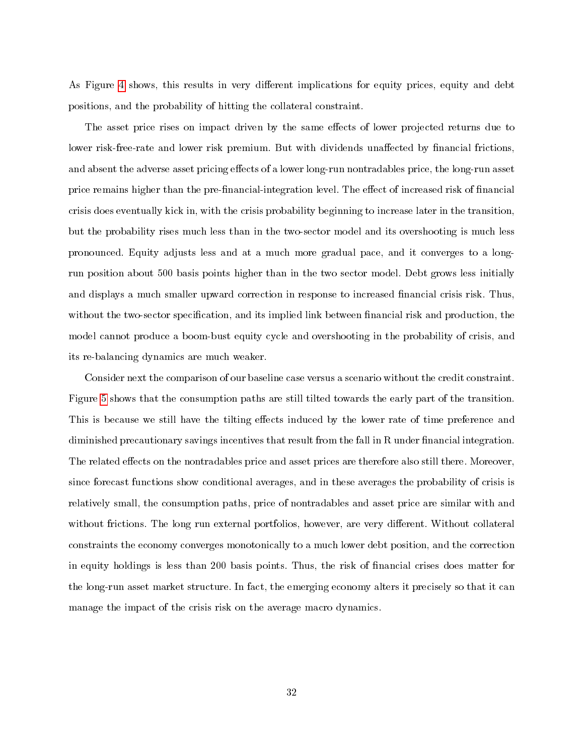As Figure [4](#page-30-0) shows, this results in very different implications for equity prices, equity and debt positions, and the probability of hitting the collateral constraint.

The asset price rises on impact driven by the same effects of lower projected returns due to lower risk-free-rate and lower risk premium. But with dividends unaffected by financial frictions. and absent the adverse asset pricing effects of a lower long-run nontradables price, the long-run asset price remains higher than the pre-financial-integration level. The effect of increased risk of financial crisis does eventually kick in, with the crisis probability beginning to increase later in the transition, but the probability rises much less than in the two-sector model and its overshooting is much less pronounced. Equity adjusts less and at a much more gradual pace, and it converges to a longrun position about 500 basis points higher than in the two sector model. Debt grows less initially and displays a much smaller upward correction in response to increased financial crisis risk. Thus, without the two-sector specification, and its implied link between financial risk and production, the model cannot produce a boom-bust equity cycle and overshooting in the probability of crisis, and its re-balancing dynamics are much weaker.

Consider next the comparison of our baseline case versus a scenario without the credit constraint. Figure [5](#page-33-0) shows that the consumption paths are still tilted towards the early part of the transition. This is because we still have the tilting effects induced by the lower rate of time preference and diminished precautionary savings incentives that result from the fall in R under financial integration. The related effects on the nontradables price and asset prices are therefore also still there. Moreover, since forecast functions show conditional averages, and in these averages the probability of crisis is relatively small, the consumption paths, price of nontradables and asset price are similar with and without frictions. The long run external portfolios, however, are very different. Without collateral constraints the economy converges monotonically to a much lower debt position, and the correction in equity holdings is less than 200 basis points. Thus, the risk of financial crises does matter for the long-run asset market structure. In fact, the emerging economy alters it precisely so that it can manage the impact of the crisis risk on the average macro dynamics.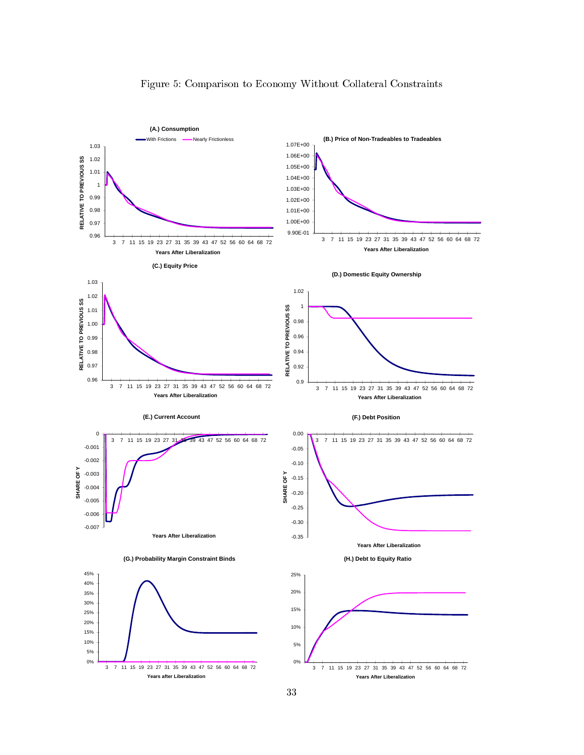<span id="page-33-0"></span>

### Figure 5: Comparison to Economy Without Collateral Constraints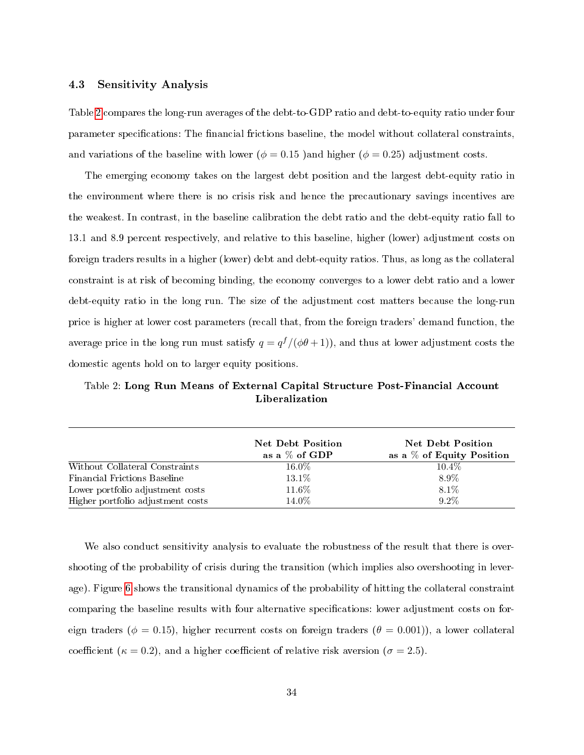#### 4.3 Sensitivity Analysis

Table [2](#page-34-0) compares the long-run averages of the debt-to-GDP ratio and debt-to-equity ratio under four parameter specifications: The financial frictions baseline, the model without collateral constraints, and variations of the baseline with lower ( $\phi = 0.15$ ) and higher ( $\phi = 0.25$ ) adjustment costs.

The emerging economy takes on the largest debt position and the largest debt-equity ratio in the environment where there is no crisis risk and hence the precautionary savings incentives are the weakest. In contrast, in the baseline calibration the debt ratio and the debt-equity ratio fall to 13.1 and 8.9 percent respectively, and relative to this baseline, higher (lower) adjustment costs on foreign traders results in a higher (lower) debt and debt-equity ratios. Thus, as long as the collateral constraint is at risk of becoming binding, the economy converges to a lower debt ratio and a lower debt-equity ratio in the long run. The size of the adjustment cost matters because the long-run price is higher at lower cost parameters (recall that, from the foreign traders' demand function, the average price in the long run must satisfy  $q = q^f/(\phi\theta+1)$ ), and thus at lower adjustment costs the domestic agents hold on to larger equity positions.

<span id="page-34-0"></span>Table 2: Long Run Means of External Capital Structure Post-Financial Account Liberalization

|                                   | <b>Net Debt Position</b><br>as a $\%$ of GDP | <b>Net Debt Position</b><br>as a $%$ of Equity Position |
|-----------------------------------|----------------------------------------------|---------------------------------------------------------|
| Without Collateral Constraints    | $16.0\%$                                     | $10.4\%$                                                |
| Financial Frictions Baseline      | 13.1\%                                       | 8.9%                                                    |
| Lower portfolio adjustment costs  | 11.6%                                        | 8.1%                                                    |
| Higher portfolio adjustment costs | 14.0%                                        | $9.2\%$                                                 |

We also conduct sensitivity analysis to evaluate the robustness of the result that there is overshooting of the probability of crisis during the transition (which implies also overshooting in leverage). Figure [6](#page-36-0) shows the transitional dynamics of the probability of hitting the collateral constraint comparing the baseline results with four alternative specifications: lower adjustment costs on foreign traders ( $\phi = 0.15$ ), higher recurrent costs on foreign traders ( $\theta = 0.001$ )), a lower collateral coefficient ( $\kappa = 0.2$ ), and a higher coefficient of relative risk aversion ( $\sigma = 2.5$ ).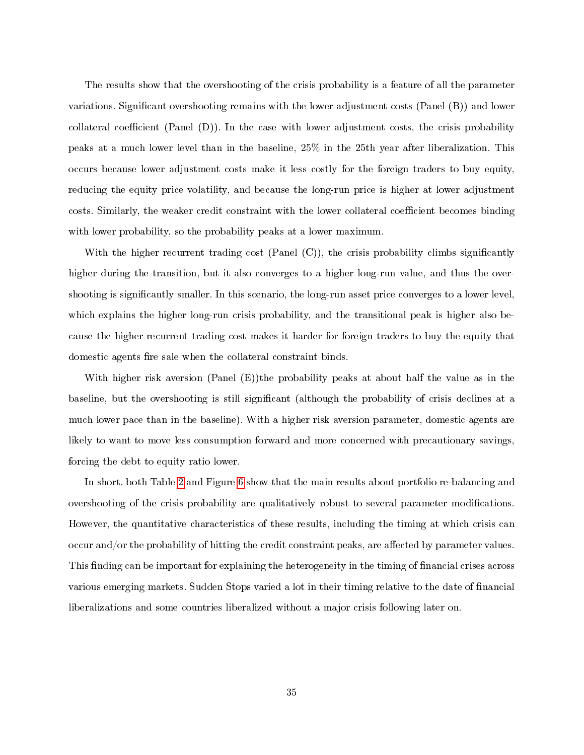The results show that the overshooting of the crisis probability is a feature of all the parameter variations. Signicant overshooting remains with the lower adjustment costs (Panel (B)) and lower collateral coefficient (Panel  $(D)$ ). In the case with lower adjustment costs, the crisis probability peaks at a much lower level than in the baseline, 25% in the 25th year after liberalization. This occurs because lower adjustment costs make it less costly for the foreign traders to buy equity, reducing the equity price volatility, and because the long-run price is higher at lower adjustment costs. Similarly, the weaker credit constraint with the lower collateral coefficient becomes binding with lower probability, so the probability peaks at a lower maximum.

With the higher recurrent trading cost  $(Panel (C))$ , the crisis probability climbs significantly higher during the transition, but it also converges to a higher long-run value, and thus the overshooting is signicantly smaller. In this scenario, the long-run asset price converges to a lower level, which explains the higher long-run crisis probability, and the transitional peak is higher also because the higher recurrent trading cost makes it harder for foreign traders to buy the equity that domestic agents fire sale when the collateral constraint binds.

With higher risk aversion (Panel (E))the probability peaks at about half the value as in the baseline, but the overshooting is still signicant (although the probability of crisis declines at a much lower pace than in the baseline). With a higher risk aversion parameter, domestic agents are likely to want to move less consumption forward and more concerned with precautionary savings, forcing the debt to equity ratio lower.

In short, both Table [2](#page-34-0) and Figure [6](#page-36-0) show that the main results about portfolio re-balancing and overshooting of the crisis probability are qualitatively robust to several parameter modications. However, the quantitative characteristics of these results, including the timing at which crisis can occur and/or the probability of hitting the credit constraint peaks, are affected by parameter values. This finding can be important for explaining the heterogeneity in the timing of financial crises across various emerging markets. Sudden Stops varied a lot in their timing relative to the date of nancial liberalizations and some countries liberalized without a major crisis following later on.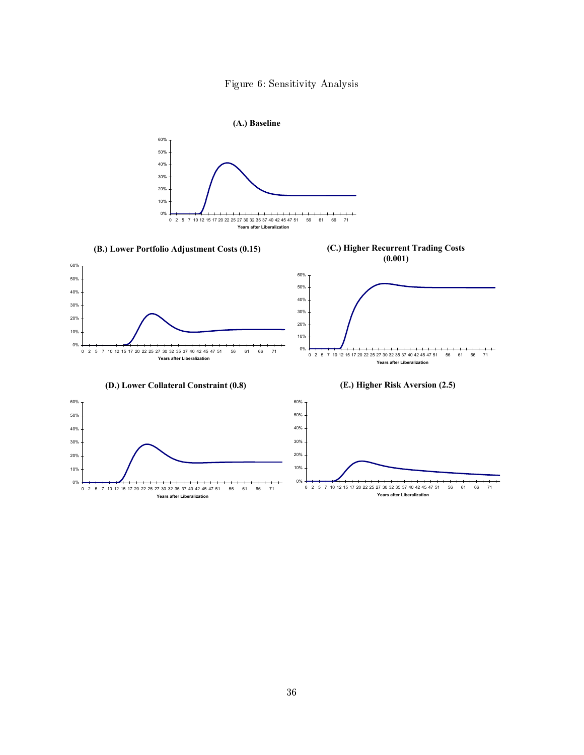

<span id="page-36-0"></span>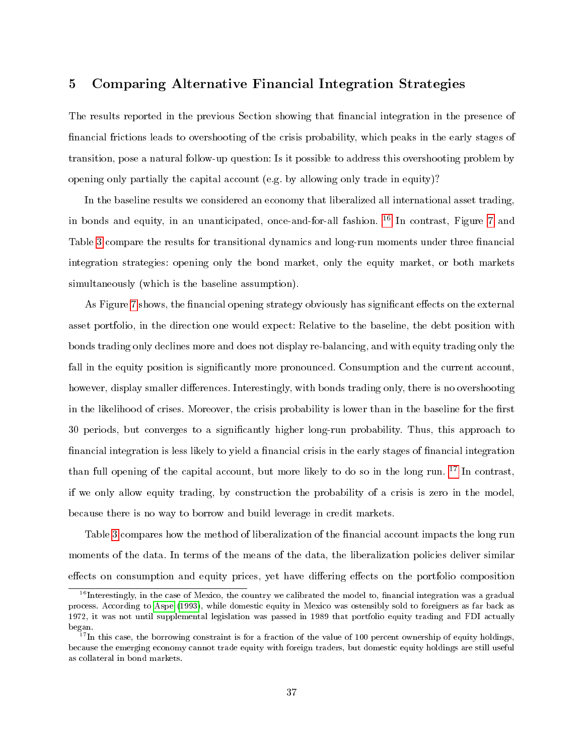## <span id="page-37-0"></span>5 Comparing Alternative Financial Integration Strategies

The results reported in the previous Section showing that financial integration in the presence of financial frictions leads to overshooting of the crisis probability, which peaks in the early stages of transition, pose a natural follow-up question: Is it possible to address this overshooting problem by opening only partially the capital account (e.g. by allowing only trade in equity)?

In the baseline results we considered an economy that liberalized all international asset trading, in bonds and equity, in an unanticipated, once-and-for-all fashion. [16](#page-37-1) In contrast, Figure [7](#page-38-0) and Table [3](#page-39-0) compare the results for transitional dynamics and long-run moments under three financial integration strategies: opening only the bond market, only the equity market, or both markets simultaneously (which is the baseline assumption).

As Figure [7](#page-38-0) shows, the financial opening strategy obviously has significant effects on the external asset portfolio, in the direction one would expect: Relative to the baseline, the debt position with bonds trading only declines more and does not display re-balancing, and with equity trading only the fall in the equity position is significantly more pronounced. Consumption and the current account, however, display smaller differences. Interestingly, with bonds trading only, there is no overshooting in the likelihood of crises. Moreover, the crisis probability is lower than in the baseline for the first 30 periods, but converges to a signicantly higher long-run probability. Thus, this approach to financial integration is less likely to yield a financial crisis in the early stages of financial integration than full opening of the capital account, but more likely to do so in the long run. <sup>[17](#page-37-2)</sup> In contrast, if we only allow equity trading, by construction the probability of a crisis is zero in the model, because there is no way to borrow and build leverage in credit markets.

Table [3](#page-39-0) compares how the method of liberalization of the financial account impacts the long run moments of the data. In terms of the means of the data, the liberalization policies deliver similar effects on consumption and equity prices, yet have differing effects on the portfolio composition

<span id="page-37-1"></span> $16$ Interestingly, in the case of Mexico, the country we calibrated the model to, financial integration was a gradual process. According to [Aspe](#page-42-8) [\(1993\)](#page-42-8), while domestic equity in Mexico was ostensibly sold to foreigners as far back as 1972, it was not until supplemental legislation was passed in 1989 that portfolio equity trading and FDI actually began.

<span id="page-37-2"></span><sup>&</sup>lt;sup>17</sup>In this case, the borrowing constraint is for a fraction of the value of 100 percent ownership of equity holdings, because the emerging economy cannot trade equity with foreign traders, but domestic equity holdings are still useful as collateral in bond markets.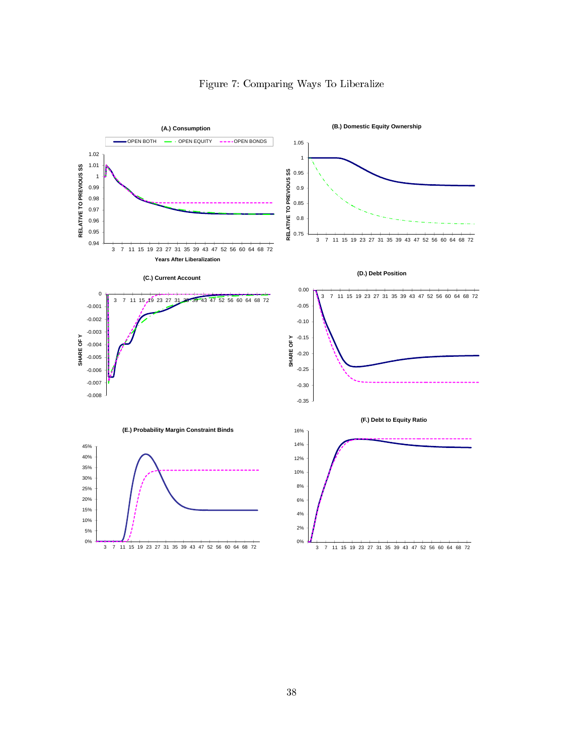<span id="page-38-0"></span>

# Figure 7: Comparing Ways To Liberalize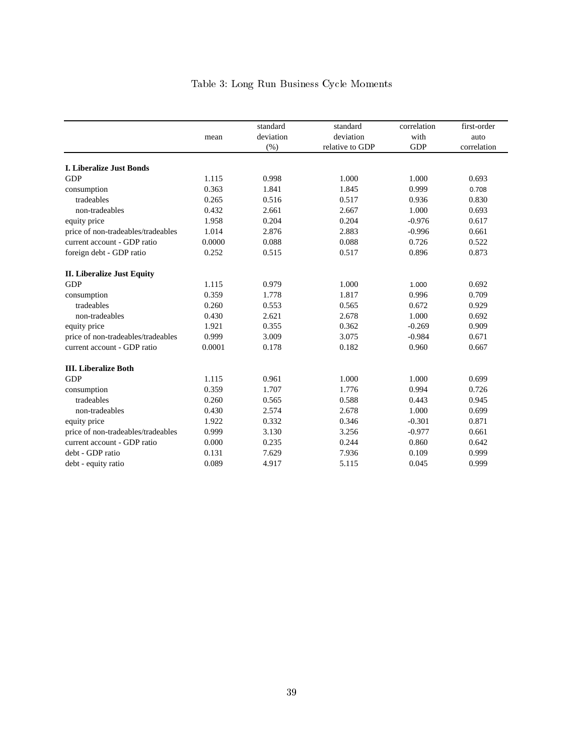<span id="page-39-0"></span>

|                                    |        | standard  | standard        | correlation | first-order |
|------------------------------------|--------|-----------|-----------------|-------------|-------------|
|                                    | mean   | deviation | deviation       | with        | auto        |
|                                    |        | (%)       | relative to GDP | <b>GDP</b>  | correlation |
| <b>I. Liberalize Just Bonds</b>    |        |           |                 |             |             |
| <b>GDP</b>                         | 1.115  | 0.998     | 1.000           | 1.000       | 0.693       |
| consumption                        | 0.363  | 1.841     | 1.845           | 0.999       | 0.708       |
| tradeables                         | 0.265  | 0.516     | 0.517           | 0.936       | 0.830       |
| non-tradeables                     | 0.432  | 2.661     | 2.667           | 1.000       | 0.693       |
| equity price                       | 1.958  | 0.204     | 0.204           | $-0.976$    | 0.617       |
| price of non-tradeables/tradeables | 1.014  | 2.876     | 2.883           | $-0.996$    | 0.661       |
| current account - GDP ratio        | 0.0000 | 0.088     | 0.088           | 0.726       | 0.522       |
| foreign debt - GDP ratio           | 0.252  | 0.515     | 0.517           | 0.896       | 0.873       |
| <b>II.</b> Liberalize Just Equity  |        |           |                 |             |             |
| <b>GDP</b>                         | 1.115  | 0.979     | 1.000           | 1.000       | 0.692       |
| consumption                        | 0.359  | 1.778     | 1.817           | 0.996       | 0.709       |
| tradeables                         | 0.260  | 0.553     | 0.565           | 0.672       | 0.929       |
| non-tradeables                     | 0.430  | 2.621     | 2.678           | 1.000       | 0.692       |
| equity price                       | 1.921  | 0.355     | 0.362           | $-0.269$    | 0.909       |
| price of non-tradeables/tradeables | 0.999  | 3.009     | 3.075           | $-0.984$    | 0.671       |
| current account - GDP ratio        | 0.0001 | 0.178     | 0.182           | 0.960       | 0.667       |
| <b>III.</b> Liberalize Both        |        |           |                 |             |             |
| <b>GDP</b>                         | 1.115  | 0.961     | 1.000           | 1.000       | 0.699       |
| consumption                        | 0.359  | 1.707     | 1.776           | 0.994       | 0.726       |
| tradeables                         | 0.260  | 0.565     | 0.588           | 0.443       | 0.945       |
| non-tradeables                     | 0.430  | 2.574     | 2.678           | 1.000       | 0.699       |
| equity price                       | 1.922  | 0.332     | 0.346           | $-0.301$    | 0.871       |
| price of non-tradeables/tradeables | 0.999  | 3.130     | 3.256           | $-0.977$    | 0.661       |
| current account - GDP ratio        | 0.000  | 0.235     | 0.244           | 0.860       | 0.642       |
| debt - GDP ratio                   | 0.131  | 7.629     | 7.936           | 0.109       | 0.999       |
| debt - equity ratio                | 0.089  | 4.917     | 5.115           | 0.045       | 0.999       |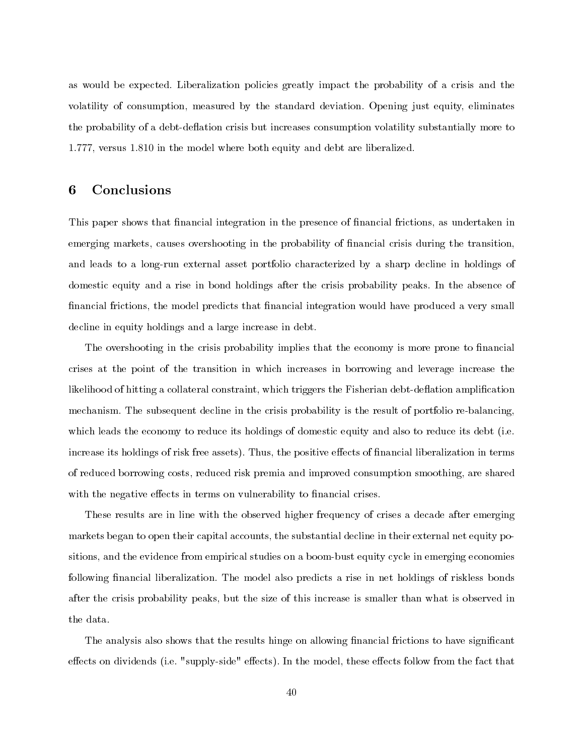as would be expected. Liberalization policies greatly impact the probability of a crisis and the volatility of consumption, measured by the standard deviation. Opening just equity, eliminates the probability of a debt-deflation crisis but increases consumption volatility substantially more to 1.777, versus 1.810 in the model where both equity and debt are liberalized.

# <span id="page-40-0"></span>6 Conclusions

This paper shows that financial integration in the presence of financial frictions, as undertaken in emerging markets, causes overshooting in the probability of financial crisis during the transition. and leads to a long-run external asset portfolio characterized by a sharp decline in holdings of domestic equity and a rise in bond holdings after the crisis probability peaks. In the absence of financial frictions, the model predicts that financial integration would have produced a very small decline in equity holdings and a large increase in debt.

The overshooting in the crisis probability implies that the economy is more prone to financial crises at the point of the transition in which increases in borrowing and leverage increase the likelihood of hitting a collateral constraint, which triggers the Fisherian debt-deflation amplification mechanism. The subsequent decline in the crisis probability is the result of portfolio re-balancing, which leads the economy to reduce its holdings of domestic equity and also to reduce its debt (i.e. increase its holdings of risk free assets). Thus, the positive effects of financial liberalization in terms of reduced borrowing costs, reduced risk premia and improved consumption smoothing, are shared with the negative effects in terms on vulnerability to financial crises.

These results are in line with the observed higher frequency of crises a decade after emerging markets began to open their capital accounts, the substantial decline in their external net equity positions, and the evidence from empirical studies on a boom-bust equity cycle in emerging economies following financial liberalization. The model also predicts a rise in net holdings of riskless bonds after the crisis probability peaks, but the size of this increase is smaller than what is observed in the data.

The analysis also shows that the results hinge on allowing financial frictions to have significant effects on dividends (i.e. "supply-side" effects). In the model, these effects follow from the fact that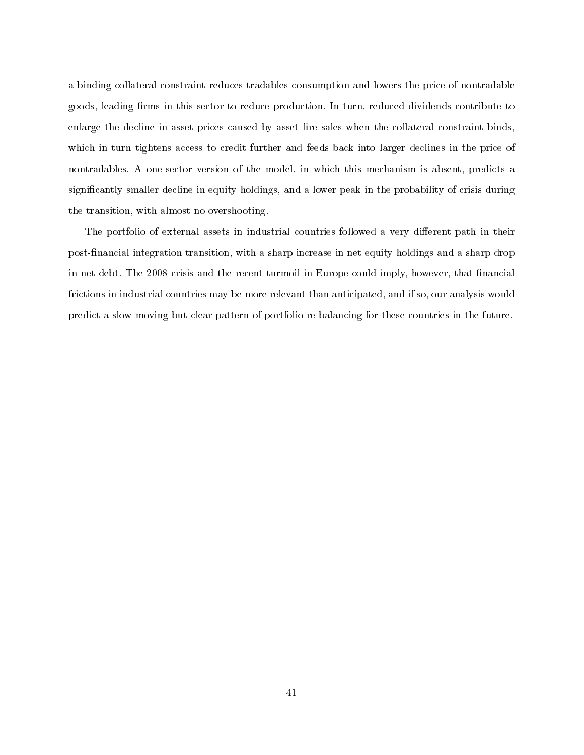a binding collateral constraint reduces tradables consumption and lowers the price of nontradable goods, leading firms in this sector to reduce production. In turn, reduced dividends contribute to enlarge the decline in asset prices caused by asset fire sales when the collateral constraint binds. which in turn tightens access to credit further and feeds back into larger declines in the price of nontradables. A one-sector version of the model, in which this mechanism is absent, predicts a significantly smaller decline in equity holdings, and a lower peak in the probability of crisis during the transition, with almost no overshooting.

The portfolio of external assets in industrial countries followed a very different path in their post-financial integration transition, with a sharp increase in net equity holdings and a sharp drop in net debt. The 2008 crisis and the recent turmoil in Europe could imply, however, that financial frictions in industrial countries may be more relevant than anticipated, and if so, our analysis would predict a slow-moving but clear pattern of portfolio re-balancing for these countries in the future.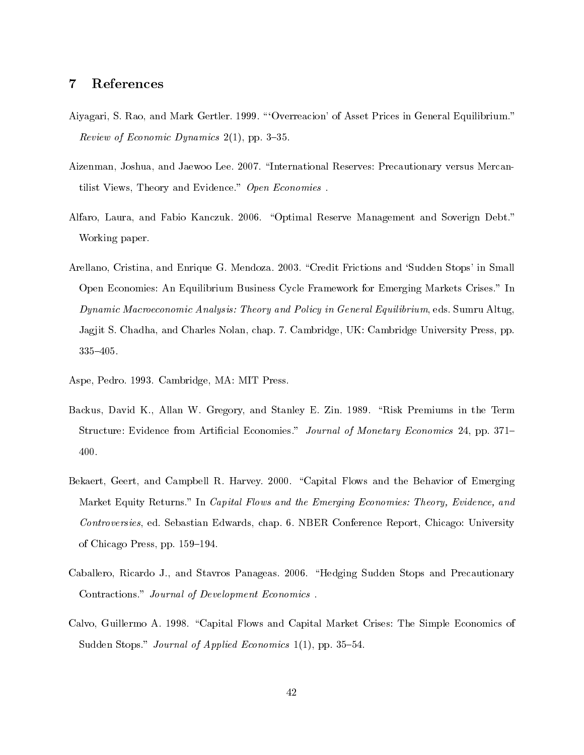## 7 References

- <span id="page-42-6"></span>Aiyagari, S. Rao, and Mark Gertler. 1999. "Overreacion' of Asset Prices in General Equilibrium." Review of Economic Dynamics  $2(1)$ , pp. 3-35.
- <span id="page-42-0"></span>Aizenman, Joshua, and Jaewoo Lee. 2007. "International Reserves: Precautionary versus Mercantilist Views, Theory and Evidence." Open Economies.
- <span id="page-42-1"></span>Alfaro, Laura, and Fabio Kanczuk. 2006. "Optimal Reserve Management and Soverign Debt." Working paper.
- <span id="page-42-5"></span>Arellano, Cristina, and Enrique G. Mendoza. 2003. "Credit Frictions and 'Sudden Stops' in Small Open Economies: An Equilibrium Business Cycle Framework for Emerging Markets Crises." In Dynamic Macroeconomic Analysis: Theory and Policy in General Equilibrium, eds. Sumru Altug, Jagjit S. Chadha, and Charles Nolan, chap. 7. Cambridge, UK: Cambridge University Press, pp. 335405.
- <span id="page-42-8"></span>Aspe, Pedro. 1993. Cambridge, MA: MIT Press.
- <span id="page-42-4"></span>Backus, David K., Allan W. Gregory, and Stanley E. Zin. 1989. "Risk Premiums in the Term Structure: Evidence from Artificial Economies." Journal of Monetary Economics 24, pp. 371– 400.
- <span id="page-42-7"></span>Bekaert, Geert, and Campbell R. Harvey. 2000. "Capital Flows and the Behavior of Emerging Market Equity Returns." In Capital Flows and the Emerging Economies: Theory, Evidence, and Controversies, ed. Sebastian Edwards, chap. 6. NBER Conference Report, Chicago: University of Chicago Press, pp. 159–194.
- <span id="page-42-2"></span>Caballero, Ricardo J., and Stavros Panageas. 2006. "Hedging Sudden Stops and Precautionary Contractions." Journal of Development Economics.
- <span id="page-42-3"></span>Calvo, Guillermo A. 1998. "Capital Flows and Capital Market Crises: The Simple Economics of Sudden Stops." Journal of Applied Economics 1(1), pp. 35-54.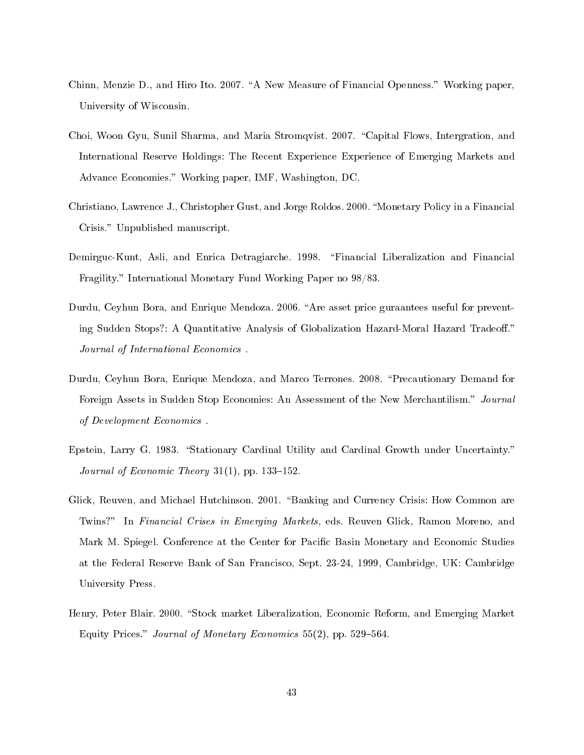- <span id="page-43-0"></span>Chinn, Menzie D., and Hiro Ito. 2007. "A New Measure of Financial Openness." Working paper, University of Wisconsin.
- <span id="page-43-3"></span>Choi, Woon Gyu, Sunil Sharma, and Maria Stromqvist. 2007. "Capital Flows, Intergration, and International Reserve Holdings: The Recent Experience Experience of Emerging Markets and Advance Economies." Working paper, IMF, Washington, DC.
- <span id="page-43-5"></span>Christiano, Lawrence J., Christopher Gust, and Jorge Roldos. 2000. Monetary Policy in a Financial Crisis." Unpublished manuscript.
- <span id="page-43-1"></span>Demirguc-Kunt, Asli, and Enrica Detragiarche. 1998. "Financial Liberalization and Financial Fragility." International Monetary Fund Working Paper no 98/83.
- <span id="page-43-7"></span>Durdu, Ceyhun Bora, and Enrique Mendoza. 2006. "Are asset price guraantees useful for preventing Sudden Stops?: A Quantitative Analysis of Globalization Hazard-Moral Hazard Tradeoff." Journal of International Economics .
- <span id="page-43-4"></span>Durdu, Ceyhun Bora, Enrique Mendoza, and Marco Terrones. 2008. "Precautionary Demand for Foreign Assets in Sudden Stop Economies: An Assessment of the New Merchantilism." Journal of Development Economics .
- <span id="page-43-6"></span>Epstein, Larry G. 1983. "Stationary Cardinal Utility and Cardinal Growth under Uncertainty." Journal of Economic Theory 31(1), pp. 133-152.
- <span id="page-43-2"></span>Glick, Reuven, and Michael Hutchinson. 2001. "Banking and Currency Crisis: How Common are Twins?" In Financial Crises in Emerging Markets, eds. Reuven Glick, Ramon Moreno, and Mark M. Spiegel. Conference at the Center for Pacific Basin Monetary and Economic Studies at the Federal Reserve Bank of San Francisco, Sept. 23-24, 1999, Cambridge, UK: Cambridge University Press.
- <span id="page-43-8"></span>Henry, Peter Blair. 2000. "Stock market Liberalization, Economic Reform, and Emerging Market Equity Prices." Journal of Monetary Economics  $55(2)$ , pp.  $529-564$ .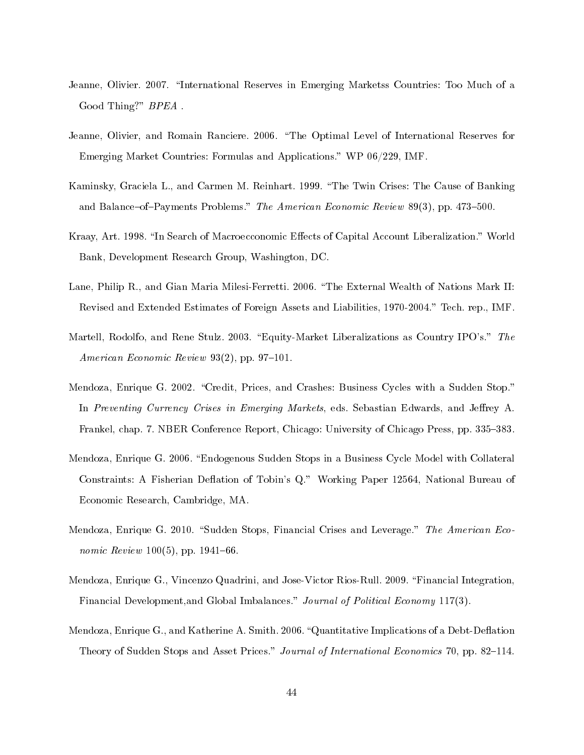- <span id="page-44-4"></span>Jeanne, Olivier. 2007. "International Reserves in Emerging Marketss Countries: Too Much of a Good Thing?" BPEA.
- <span id="page-44-3"></span>Jeanne, Olivier, and Romain Ranciere. 2006. "The Optimal Level of International Reserves for Emerging Market Countries: Formulas and Applications." WP 06/229, IMF.
- <span id="page-44-2"></span>Kaminsky, Graciela L., and Carmen M. Reinhart. 1999. "The Twin Crises: The Cause of Banking and Balance-of-Payments Problems." The American Economic Review 89(3), pp. 473-500.
- <span id="page-44-1"></span>Kraay, Art. 1998. "In Search of Macroecconomic Effects of Capital Account Liberalization." World Bank, Development Research Group, Washington, DC.
- <span id="page-44-0"></span>Lane, Philip R., and Gian Maria Milesi-Ferretti. 2006. "The External Wealth of Nations Mark II: Revised and Extended Estimates of Foreign Assets and Liabilities, 1970-2004." Tech. rep., IMF.
- <span id="page-44-8"></span>Martell, Rodolfo, and Rene Stulz. 2003. "Equity-Market Liberalizations as Country IPO's." The American Economic Review  $93(2)$ , pp. 97-101.
- <span id="page-44-9"></span>Mendoza, Enrique G. 2002. "Credit, Prices, and Crashes: Business Cycles with a Sudden Stop." In Preventing Currency Crises in Emerging Markets, eds. Sebastian Edwards, and Jeffrey A. Frankel, chap. 7. NBER Conference Report, Chicago: University of Chicago Press, pp. 335–383.
- <span id="page-44-10"></span>Mendoza, Enrique G. 2006. Endogenous Sudden Stops in a Business Cycle Model with Collateral Constraints: A Fisherian Deflation of Tobin's Q." Working Paper 12564, National Bureau of Economic Research, Cambridge, MA.
- <span id="page-44-5"></span>Mendoza, Enrique G. 2010. "Sudden Stops, Financial Crises and Leverage." The American Eco*nomic Review* 100(5), pp. 1941–66.
- <span id="page-44-7"></span>Mendoza, Enrique G., Vincenzo Quadrini, and Jose-Victor Rios-Rull. 2009. "Financial Integration. Financial Development, and Global Imbalances." Journal of Political Economy 117(3).
- <span id="page-44-6"></span>Mendoza, Enrique G., and Katherine A. Smith. 2006. "Quantitative Implications of a Debt-Deflation Theory of Sudden Stops and Asset Prices." Journal of International Economics 70, pp. 82–114.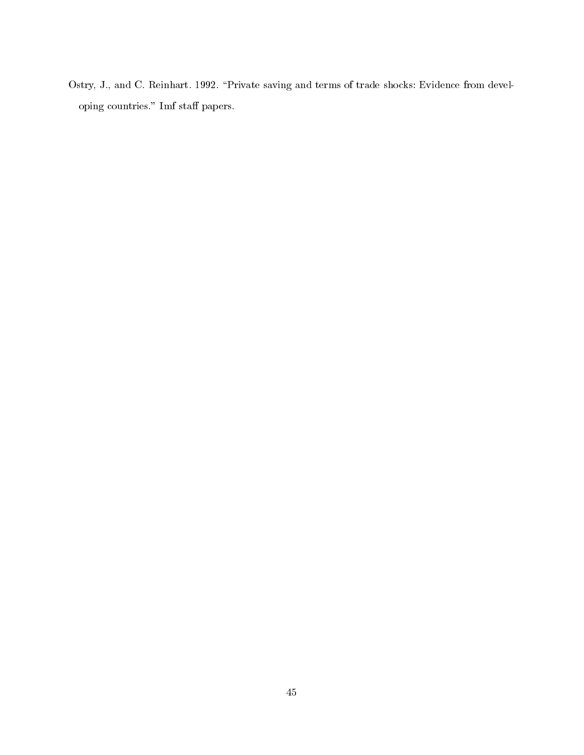<span id="page-45-0"></span>Ostry, J., and C. Reinhart. 1992. "Private saving and terms of trade shocks: Evidence from developing countries." Imf staff papers.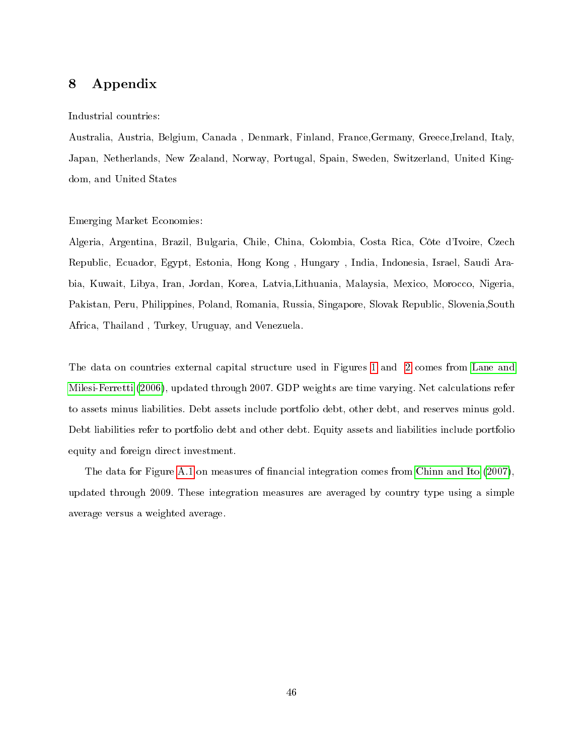# 8 Appendix

#### Industrial countries:

Australia, Austria, Belgium, Canada , Denmark, Finland, France,Germany, Greece,Ireland, Italy, Japan, Netherlands, New Zealand, Norway, Portugal, Spain, Sweden, Switzerland, United Kingdom, and United States

#### Emerging Market Economies:

Algeria, Argentina, Brazil, Bulgaria, Chile, China, Colombia, Costa Rica, Côte d'Ivoire, Czech Republic, Ecuador, Egypt, Estonia, Hong Kong , Hungary , India, Indonesia, Israel, Saudi Arabia, Kuwait, Libya, Iran, Jordan, Korea, Latvia,Lithuania, Malaysia, Mexico, Morocco, Nigeria, Pakistan, Peru, Philippines, Poland, Romania, Russia, Singapore, Slovak Republic, Slovenia,South Africa, Thailand , Turkey, Uruguay, and Venezuela.

The data on countries external capital structure used in Figures [1](#page-3-0) and [2](#page-5-0) comes from [Lane and](#page-44-0) [Milesi-Ferretti](#page-44-0) [\(2006\)](#page-44-0), updated through 2007. GDP weights are time varying. Net calculations refer to assets minus liabilities. Debt assets include portfolio debt, other debt, and reserves minus gold. Debt liabilities refer to portfolio debt and other debt. Equity assets and liabilities include portfolio equity and foreign direct investment.

The data for Figure [A.1](#page-47-0) on measures of financial integration comes from [Chinn and Ito](#page-43-0) [\(2007\)](#page-43-0), updated through 2009. These integration measures are averaged by country type using a simple average versus a weighted average.